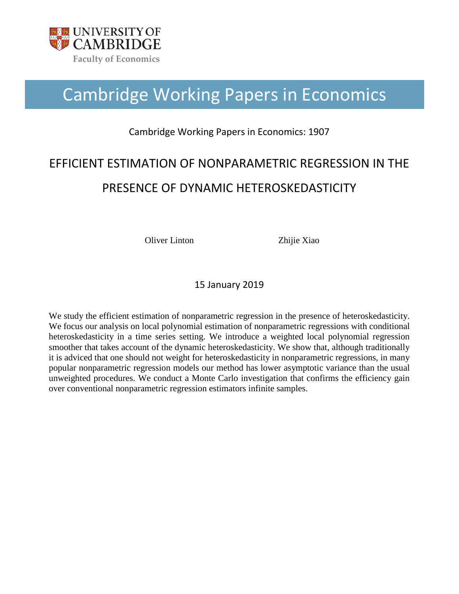

# Cambridge Working Papers in Economics

## Cambridge Working Papers in Economics: 1907

## EFFICIENT ESTIMATION OF NONPARAMETRIC REGRESSION IN THE PRESENCE OF DYNAMIC HETEROSKEDASTICITY

Oliver Linton Zhijie Xiao

15 January 2019

We study the efficient estimation of nonparametric regression in the presence of heteroskedasticity. We focus our analysis on local polynomial estimation of nonparametric regressions with conditional heteroskedasticity in a time series setting. We introduce a weighted local polynomial regression smoother that takes account of the dynamic heteroskedasticity. We show that, although traditionally it is adviced that one should not weight for heteroskedasticity in nonparametric regressions, in many popular nonparametric regression models our method has lower asymptotic variance than the usual unweighted procedures. We conduct a Monte Carlo investigation that confirms the efficiency gain over conventional nonparametric regression estimators infinite samples.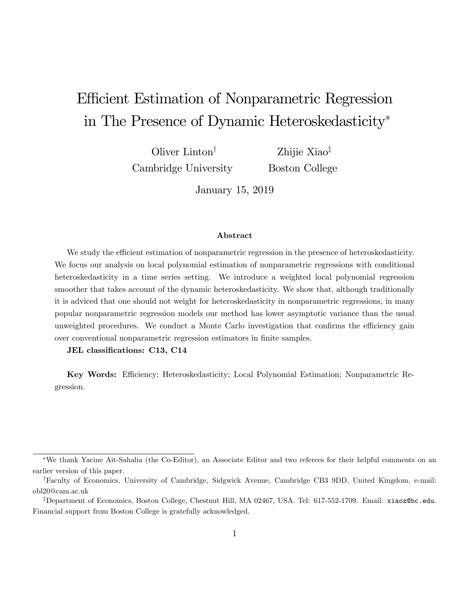## Efficient Estimation of Nonparametric Regression in The Presence of Dynamic Heteroskedasticity

Oliver Linton<sup> $\dagger$ </sup> Cambridge University

Zhijie Xiao<sup>‡</sup> Boston College

January 15, 2019

#### Abstract

We study the efficient estimation of nonparametric regression in the presence of heteroskedasticity. We focus our analysis on local polynomial estimation of nonparametric regressions with conditional heteroskedasticity in a time series setting. We introduce a weighted local polynomial regression smoother that takes account of the dynamic heteroskedasticity. We show that, although traditionally it is adviced that one should not weight for heteroskedasticity in nonparametric regressions, in many popular nonparametric regression models our method has lower asymptotic variance than the usual unweighted procedures. We conduct a Monte Carlo investigation that confirms the efficiency gain over conventional nonparametric regression estimators in Önite samples.

JEL classifications: C13, C14

Key Words: Efficiency; Heteroskedasticity; Local Polynomial Estimation; Nonparametric Regression.

We thank Yacine Ait-Sahalia (the Co-Editor), an Associate Editor and two referees for their helpful comments on an earlier version of this paper.

<sup>&</sup>lt;sup>†</sup>Faculty of Economics, University of Cambridge, Sidgwick Avenue, Cambridge CB3 9DD, United Kingdom, e-mail: obl20@cam.ac.uk

<sup>&</sup>lt;sup>‡</sup>Department of Economics, Boston College, Chestnut Hill, MA 02467, USA. Tel: 617-552-1709. Email: xiaoz@bc.edu. Financial support from Boston College is gratefully acknowledged.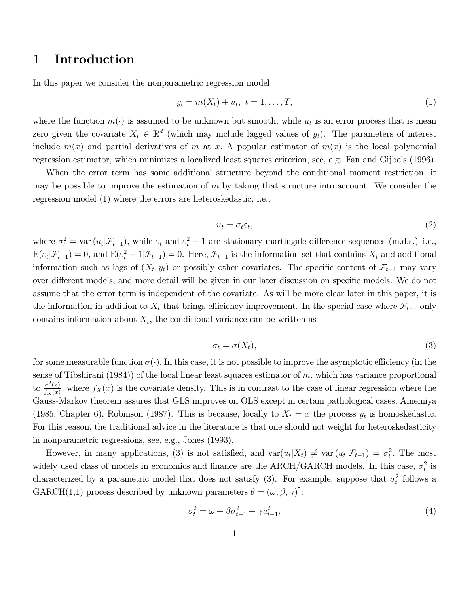## 1 Introduction

In this paper we consider the nonparametric regression model

$$
y_t = m(X_t) + u_t, \ t = 1, \dots, T,
$$
\n(1)

where the function  $m(\cdot)$  is assumed to be unknown but smooth, while  $u_t$  is an error process that is mean zero given the covariate  $X_t \in \mathbb{R}^d$  (which may include lagged values of  $y_t$ ). The parameters of interest include  $m(x)$  and partial derivatives of m at x. A popular estimator of  $m(x)$  is the local polynomial regression estimator, which minimizes a localized least squares criterion, see, e.g. Fan and Gijbels (1996).

When the error term has some additional structure beyond the conditional moment restriction, it may be possible to improve the estimation of  $m$  by taking that structure into account. We consider the regression model (1) where the errors are heteroskedastic, i.e.,

$$
u_t = \sigma_t \varepsilon_t,\tag{2}
$$

where  $\sigma_t^2 = \text{var}(u_t | \mathcal{F}_{t-1})$ , while  $\varepsilon_t$  and  $\varepsilon_t^2 - 1$  are stationary martingale difference sequences (m.d.s.) i.e.,  $E(\varepsilon_t|\mathcal{F}_{t-1}) = 0$ , and  $E(\varepsilon_t^2 - 1|\mathcal{F}_{t-1}) = 0$ . Here,  $\mathcal{F}_{t-1}$  is the information set that contains  $X_t$  and additional information such as lags of  $(X_t, y_t)$  or possibly other covariates. The specific content of  $\mathcal{F}_{t-1}$  may vary over different models, and more detail will be given in our later discussion on specific models. We do not assume that the error term is independent of the covariate. As will be more clear later in this paper, it is the information in addition to  $X_t$  that brings efficiency improvement. In the special case where  $\mathcal{F}_{t-1}$  only contains information about  $X_t$ , the conditional variance can be written as

$$
\sigma_t = \sigma(X_t),\tag{3}
$$

for some measurable function  $\sigma(\cdot)$ . In this case, it is not possible to improve the asymptotic efficiency (in the sense of Tibshirani (1984)) of the local linear least squares estimator of  $m$ , which has variance proportional to  $\frac{\sigma^2(x)}{f_Y(x)}$  $\frac{\sigma^2(x)}{f_X(x)}$ , where  $f_X(x)$  is the covariate density. This is in contrast to the case of linear regression where the Gauss-Markov theorem assures that GLS improves on OLS except in certain pathological cases, Amemiya (1985, Chapter 6), Robinson (1987). This is because, locally to  $X_t = x$  the process  $y_t$  is homoskedastic. For this reason, the traditional advice in the literature is that one should not weight for heteroskedasticity in nonparametric regressions, see, e.g., Jones (1993).

However, in many applications, (3) is not satisfied, and  $var(u_t|X_t) \neq var(u_t|\mathcal{F}_{t-1}) = \sigma_t^2$ . The most widely used class of models in economics and finance are the ARCH/GARCH models. In this case,  $\sigma_t^2$  is characterized by a parametric model that does not satisfy (3). For example, suppose that  $\sigma_t^2$  follows a GARCH(1,1) process described by unknown parameters  $\theta = (\omega, \beta, \gamma)^{\dagger}$ :

$$
\sigma_t^2 = \omega + \beta \sigma_{t-1}^2 + \gamma u_{t-1}^2.
$$
\n(4)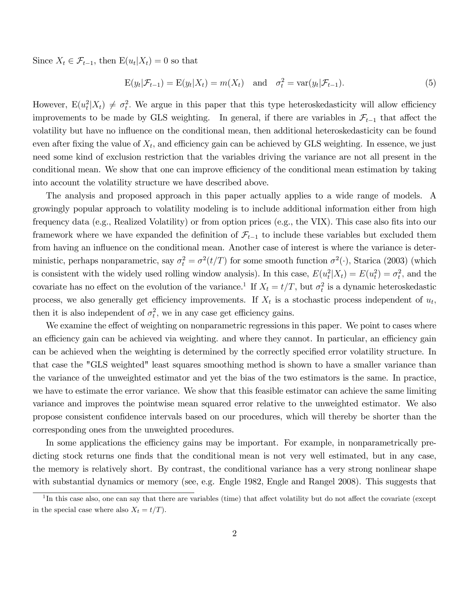Since  $X_t \in \mathcal{F}_{t-1}$ , then  $E(u_t|X_t) = 0$  so that

$$
E(yt|\mathcal{F}_{t-1}) = E(yt|Xt) = m(Xt) \text{ and } \sigmat2 = \text{var}(yt|\mathcal{F}_{t-1}).
$$
\n(5)

However,  $E(u_t^2|X_t) \neq \sigma_t^2$ . We argue in this paper that this type heteroskedasticity will allow efficiency improvements to be made by GLS weighting. In general, if there are variables in  $\mathcal{F}_{t-1}$  that affect the volatility but have no influence on the conditional mean, then additional heteroskedasticity can be found even after fixing the value of  $X_t$ , and efficiency gain can be achieved by GLS weighting. In essence, we just need some kind of exclusion restriction that the variables driving the variance are not all present in the conditional mean. We show that one can improve efficiency of the conditional mean estimation by taking into account the volatility structure we have described above.

The analysis and proposed approach in this paper actually applies to a wide range of models. A growingly popular approach to volatility modeling is to include additional information either from high frequency data (e.g., Realized Volatility) or from option prices (e.g., the VIX). This case also fits into our framework where we have expanded the definition of  $\mathcal{F}_{t-1}$  to include these variables but excluded them from having an influence on the conditional mean. Another case of interest is where the variance is deterministic, perhaps nonparametric, say  $\sigma_t^2 = \sigma^2(t/T)$  for some smooth function  $\sigma^2(\cdot)$ , Starica (2003) (which is consistent with the widely used rolling window analysis). In this case,  $E(u_t^2|X_t) = E(u_t^2) = \sigma_t^2$ , and the covariate has no effect on the evolution of the variance.<sup>1</sup> If  $X_t = t/T$ , but  $\sigma_t^2$  is a dynamic heteroskedastic process, we also generally get efficiency improvements. If  $X_t$  is a stochastic process independent of  $u_t$ , then it is also independent of  $\sigma_t^2$ , we in any case get efficiency gains.

We examine the effect of weighting on nonparametric regressions in this paper. We point to cases where an efficiency gain can be achieved via weighting. and where they cannot. In particular, an efficiency gain can be achieved when the weighting is determined by the correctly specified error volatility structure. In that case the "GLS weighted" least squares smoothing method is shown to have a smaller variance than the variance of the unweighted estimator and yet the bias of the two estimators is the same. In practice, we have to estimate the error variance. We show that this feasible estimator can achieve the same limiting variance and improves the pointwise mean squared error relative to the unweighted estimator. We also propose consistent conÖdence intervals based on our procedures, which will thereby be shorter than the corresponding ones from the unweighted procedures.

In some applications the efficiency gains may be important. For example, in nonparametrically predicting stock returns one finds that the conditional mean is not very well estimated, but in any case, the memory is relatively short. By contrast, the conditional variance has a very strong nonlinear shape with substantial dynamics or memory (see, e.g. Engle 1982, Engle and Rangel 2008). This suggests that

<sup>&</sup>lt;sup>1</sup>In this case also, one can say that there are variables (time) that affect volatility but do not affect the covariate (except in the special case where also  $X_t = t/T$ .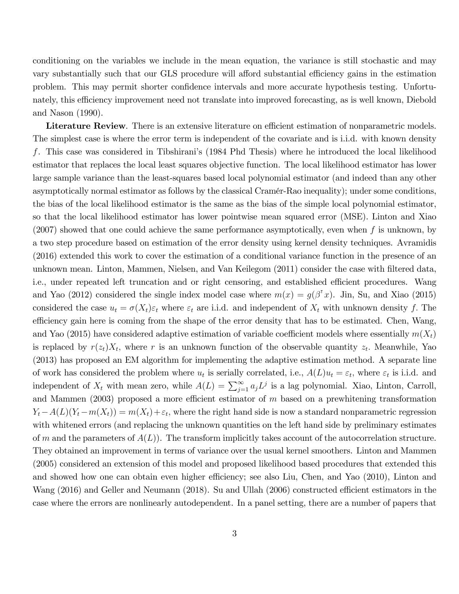conditioning on the variables we include in the mean equation, the variance is still stochastic and may vary substantially such that our GLS procedure will afford substantial efficiency gains in the estimation problem. This may permit shorter confidence intervals and more accurate hypothesis testing. Unfortunately, this efficiency improvement need not translate into improved forecasting, as is well known, Diebold and Nason (1990).

Literature Review. There is an extensive literature on efficient estimation of nonparametric models. The simplest case is where the error term is independent of the covariate and is i.i.d. with known density f. This case was considered in Tibshiraniís (1984 Phd Thesis) where he introduced the local likelihood estimator that replaces the local least squares objective function. The local likelihood estimator has lower large sample variance than the least-squares based local polynomial estimator (and indeed than any other asymptotically normal estimator as follows by the classical Cramér-Rao inequality); under some conditions, the bias of the local likelihood estimator is the same as the bias of the simple local polynomial estimator, so that the local likelihood estimator has lower pointwise mean squared error (MSE). Linton and Xiao  $(2007)$  showed that one could achieve the same performance asymptotically, even when f is unknown, by a two step procedure based on estimation of the error density using kernel density techniques. Avramidis (2016) extended this work to cover the estimation of a conditional variance function in the presence of an unknown mean. Linton, Mammen, Nielsen, and Van Keilegom (2011) consider the case with Öltered data, i.e., under repeated left truncation and or right censoring, and established efficient procedures. Wang and Yao (2012) considered the single index model case where  $m(x) = g(\beta^{\dagger} x)$ . Jin, Su, and Xiao (2015) considered the case  $u_t = \sigma(X_t)\varepsilon_t$  where  $\varepsilon_t$  are i.i.d. and independent of  $X_t$  with unknown density f. The efficiency gain here is coming from the shape of the error density that has to be estimated. Chen, Wang, and Yao (2015) have considered adaptive estimation of variable coefficient models where essentially  $m(X_t)$ is replaced by  $r(z_t)X_t$ , where r is an unknown function of the observable quantity  $z_t$ . Meanwhile, Yao (2013) has proposed an EM algorithm for implementing the adaptive estimation method. A separate line of work has considered the problem where  $u_t$  is serially correlated, i.e.,  $A(L)u_t = \varepsilon_t$ , where  $\varepsilon_t$  is i.i.d. and independent of  $X_t$  with mean zero, while  $A(L) = \sum_{j=1}^{\infty} a_j L^j$  is a lag polynomial. Xiao, Linton, Carroll, and Mammen (2003) proposed a more efficient estimator of  $m$  based on a prewhitening transformation  $Y_t - A(L)(Y_t - m(X_t)) = m(X_t) + \varepsilon_t$ , where the right hand side is now a standard nonparametric regression with whitened errors (and replacing the unknown quantities on the left hand side by preliminary estimates of m and the parameters of  $A(L)$ ). The transform implicitly takes account of the autocorrelation structure. They obtained an improvement in terms of variance over the usual kernel smoothers. Linton and Mammen (2005) considered an extension of this model and proposed likelihood based procedures that extended this and showed how one can obtain even higher efficiency; see also Liu, Chen, and Yao (2010), Linton and Wang  $(2016)$  and Geller and Neumann  $(2018)$ . Su and Ullah  $(2006)$  constructed efficient estimators in the case where the errors are nonlinearly autodependent. In a panel setting, there are a number of papers that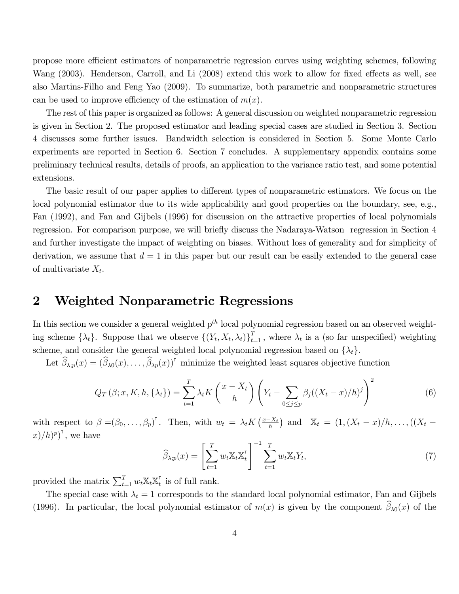propose more efficient estimators of nonparametric regression curves using weighting schemes, following Wang (2003). Henderson, Carroll, and Li (2008) extend this work to allow for fixed effects as well, see also Martins-Filho and Feng Yao (2009). To summarize, both parametric and nonparametric structures can be used to improve efficiency of the estimation of  $m(x)$ .

The rest of this paper is organized as follows: A general discussion on weighted nonparametric regression is given in Section 2. The proposed estimator and leading special cases are studied in Section 3. Section 4 discusses some further issues. Bandwidth selection is considered in Section 5. Some Monte Carlo experiments are reported in Section 6. Section 7 concludes. A supplementary appendix contains some preliminary technical results, details of proofs, an application to the variance ratio test, and some potential extensions.

The basic result of our paper applies to different types of nonparametric estimators. We focus on the local polynomial estimator due to its wide applicability and good properties on the boundary, see, e.g., Fan (1992), and Fan and Gijbels (1996) for discussion on the attractive properties of local polynomials regression. For comparison purpose, we will briefly discuss the Nadaraya-Watson regression in Section 4 and further investigate the impact of weighting on biases. Without loss of generality and for simplicity of derivation, we assume that  $d = 1$  in this paper but our result can be easily extended to the general case of multivariate  $X_t$ .

## 2 Weighted Nonparametric Regressions

In this section we consider a general weighted  $p<sup>th</sup>$  local polynomial regression based on an observed weighting scheme  $\{\lambda_t\}$ . Suppose that we observe  $\{(Y_t, X_t, \lambda_t)\}_{t=1}^T$ , where  $\lambda_t$  is a (so far unspecified) weighting scheme, and consider the general weighted local polynomial regression based on  $\{\lambda_t\}$ .

Let  $\widehat{\beta}_{\lambda;p}(x) = (\widehat{\beta}_{\lambda 0}(x), \ldots, \widehat{\beta}_{\lambda p}(x))^{\dagger}$  minimize the weighted least squares objective function

$$
Q_T(\beta; x, K, h, \{\lambda_t\}) = \sum_{t=1}^T \lambda_t K\left(\frac{x - X_t}{h}\right) \left(Y_t - \sum_{0 \le j \le p} \beta_j ((X_t - x)/h)^j\right)^2 \tag{6}
$$

with respect to  $\beta = (\beta_0, \ldots, \beta_p)^\dagger$ . Then, with  $w_t = \lambda_t K\left(\frac{x - X_t}{h}\right)$  and  $\mathbb{X}_t = (1, (X_t - x)/h, \ldots, ((X_t - x)/h)$  $\left(x\right)/h$ <sup>p</sup><sup>r</sup>, we have

$$
\widehat{\beta}_{\lambda;p}(x) = \left[\sum_{t=1}^T w_t \mathbb{X}_t \mathbb{X}_t^{\mathsf{T}}\right]^{-1} \sum_{t=1}^T w_t \mathbb{X}_t Y_t, \tag{7}
$$

provided the matrix  $\sum_{t=1}^{T} w_t \mathbb{X}_t \mathbb{X}_t^{\mathsf{T}}$  $\frac{1}{t}$  is of full rank.

The special case with  $\lambda_t = 1$  corresponds to the standard local polynomial estimator, Fan and Gijbels (1996). In particular, the local polynomial estimator of  $m(x)$  is given by the component  $\widehat{\beta}_{\lambda 0}(x)$  of the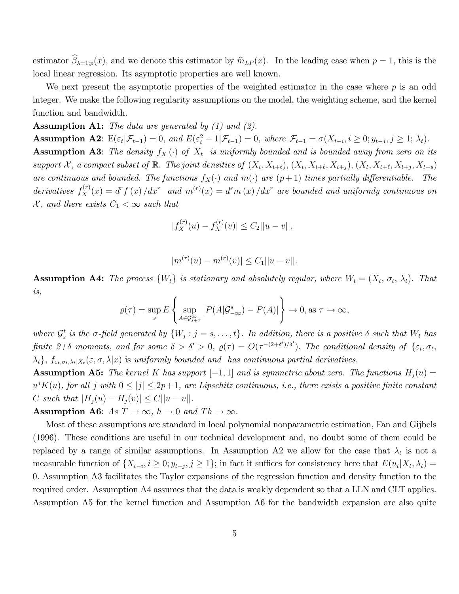estimator  $\beta_{\lambda=1;p}(x)$ , and we denote this estimator by  $\widehat{m}_{LP}(x)$ . In the leading case when  $p = 1$ , this is the local linear regression. Its asymptotic properties are well known.

We next present the asymptotic properties of the weighted estimator in the case where  $p$  is an odd integer. We make the following regularity assumptions on the model, the weighting scheme, and the kernel function and bandwidth.

**Assumption A1:** The data are generated by  $(1)$  and  $(2)$ .

**Assumption A2:**  $E(\varepsilon_t|\mathcal{F}_{t-1}) = 0$ , and  $E(\varepsilon_t^2 - 1|\mathcal{F}_{t-1}) = 0$ , where  $\mathcal{F}_{t-1} = \sigma(X_{t-i}, i \geq 0; y_{t-j}, j \geq 1; \lambda_t)$ . **Assumption A3:** The density  $f_X(\cdot)$  of  $X_t$  is uniformly bounded and is bounded away from zero on its support X, a compact subset of  $\mathbb{R}$ . The joint densities of  $(X_t, X_{t+\ell}), (X_t, X_{t+\ell}, X_{t+j}), (X_t, X_{t+\ell}, X_{t+j}, X_{t+s})$ are continuous and bounded. The functions  $f_X(\cdot)$  and  $m(\cdot)$  are  $(p+1)$  times partially differentiable. The derivatives  $f_X^{(r)}(x) = d^r f(x) / dx^r$  and  $m^{(r)}(x) = d^r m(x) / dx^r$  are bounded and uniformly continuous on  $\mathcal{X}$ , and there exists  $C_1 < \infty$  such that

$$
|f_X^{(r)}(u) - f_X^{(r)}(v)| \le C_2 ||u - v||,
$$

$$
|m^{(r)}(u) - m^{(r)}(v)| \le C_1 ||u - v||.
$$

**Assumption A4:** The process  $\{W_t\}$  is stationary and absolutely regular, where  $W_t = (X_t, \sigma_t, \lambda_t)$ . That is,

$$
\varrho(\tau) = \sup_s E\left\{\sup_{A\in\mathcal{G}^\infty_{s+\tau}}|P(A|\mathcal{G}^s_{-\infty}) - P(A)|\right\} \to 0, \text{as } \tau\to\infty,
$$

where  $\mathcal{G}_s^t$  is the  $\sigma$ -field generated by  $\{W_j : j = s, \ldots, t\}$ . In addition, there is a positive  $\delta$  such that  $W_t$  has finite  $2+\delta$  moments, and for some  $\delta > \delta' > 0$ ,  $\rho(\tau) = O(\tau^{-(2+\delta')/\delta'})$ . The conditional density of  $\{\varepsilon_t, \sigma_t,$  $\{\lambda_t\}, f_{\varepsilon_t, \sigma_t, \lambda_t | X_t}(\varepsilon, \sigma, \lambda | x)$  is uniformly bounded and has continuous partial derivatives.

**Assumption A5:** The kernel K has support  $[-1, 1]$  and is symmetric about zero. The functions  $H_i(u)$  =  $u^j K(u)$ , for all j with  $0 \leq |j| \leq 2p+1$ , are Lipschitz continuous, i.e., there exists a positive finite constant C such that  $|H_j(u) - H_j(v)| \leq C ||u - v||$ .

**Assumption A6:** As  $T \to \infty$ ,  $h \to 0$  and  $Th \to \infty$ .

Most of these assumptions are standard in local polynomial nonparametric estimation, Fan and Gijbels (1996). These conditions are useful in our technical development and, no doubt some of them could be replaced by a range of similar assumptions. In Assumption A2 we allow for the case that  $\lambda_t$  is not a measurable function of  $\{X_{t-i}, i \geq 0; y_{t-j}, j \geq 1\}$ ; in fact it suffices for consistency here that  $E(u_t|X_t, \lambda_t) =$ 0: Assumption A3 facilitates the Taylor expansions of the regression function and density function to the required order. Assumption A4 assumes that the data is weakly dependent so that a LLN and CLT applies. Assumption A5 for the kernel function and Assumption A6 for the bandwidth expansion are also quite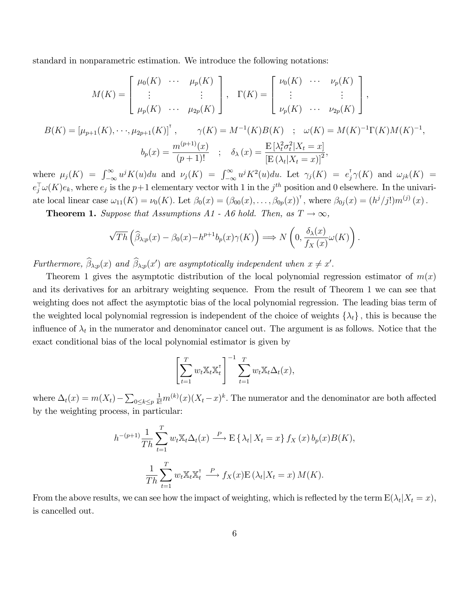standard in nonparametric estimation. We introduce the following notations:

$$
M(K) = \begin{bmatrix} \mu_0(K) & \cdots & \mu_p(K) \\ \vdots & & \vdots \\ \mu_p(K) & \cdots & \mu_{2p}(K) \end{bmatrix}, \quad \Gamma(K) = \begin{bmatrix} \nu_0(K) & \cdots & \nu_p(K) \\ \vdots & & \vdots \\ \nu_p(K) & \cdots & \nu_{2p}(K) \end{bmatrix},
$$
  

$$
B(K) = [\mu_{p+1}(K), \cdots, \mu_{2p+1}(K)]^{\mathsf{T}}, \qquad \gamma(K) = M^{-1}(K)B(K) \quad ; \quad \omega(K) = M(K)^{-1}\Gamma(K)M(K)^{-1},
$$
  

$$
b_p(x) = \frac{m^{(p+1)}(x)}{(p+1)!} \quad ; \quad \delta_\lambda(x) = \frac{\mathbb{E}[\lambda_t^2 \sigma_t^2 | X_t = x]}{[\mathbb{E}(\lambda_t | X_t = x)]^2},
$$

where  $\mu_j(K) = \int_{-\infty}^{\infty} u^j K(u) du$  and  $\nu_j(K) = \int_{-\infty}^{\infty} u^j K^2(u) du$ . Let  $\gamma_j(K) = e_j^{\dagger} \gamma(K)$  and  $\omega_{jk}(K) =$  $e_j^{\top} \omega(K) e_k$ , where  $e_j$  is the  $p+1$  elementary vector with 1 in the  $j^{th}$  position and 0 elsewhere. In the univariate local linear case  $\omega_{11}(K) = \nu_0(K)$ . Let  $\beta_0(x) = (\beta_{00}(x), \ldots, \beta_{0p}(x))^{\dagger}$ , where  $\beta_{0j}(x) = (h^j/j!)m^{(j)}(x)$ .

**Theorem 1.** Suppose that Assumptions A1 - A6 hold. Then, as  $T \rightarrow \infty$ ,

$$
\sqrt{Th}\left(\widehat{\beta}_{\lambda;p}(x)-\beta_0(x)-h^{p+1}b_p(x)\gamma(K)\right) \Longrightarrow N\left(0,\frac{\delta_\lambda(x)}{f_X(x)}\omega(K)\right).
$$

Furthermore,  $\beta_{\lambda;p}(x)$  and  $\beta_{\lambda;p}(x')$  are asymptotically independent when  $x \neq x'$ .

Theorem 1 gives the asymptotic distribution of the local polynomial regression estimator of  $m(x)$ and its derivatives for an arbitrary weighting sequence. From the result of Theorem 1 we can see that weighting does not affect the asymptotic bias of the local polynomial regression. The leading bias term of the weighted local polynomial regression is independent of the choice of weights  $\{\lambda_t\}$ , this is because the influence of  $\lambda_t$  in the numerator and denominator cancel out. The argument is as follows. Notice that the exact conditional bias of the local polynomial estimator is given by

$$
\left[\sum_{t=1}^T w_t \mathbb{X}_t \mathbb{X}_t^{\mathsf{T}}\right]^{-1} \sum_{t=1}^T w_t \mathbb{X}_t \Delta_t(x),
$$

where  $\Delta_t(x) = m(X_t) - \sum_{0 \le k \le p}$  $\frac{1}{k!}m^{(k)}(x)(X_t-x)^k$ . The numerator and the denominator are both affected by the weighting process, in particular:

$$
h^{-(p+1)}\frac{1}{Th}\sum_{t=1}^{T}w_t\mathbb{X}_t\Delta_t(x) \stackrel{P}{\longrightarrow} \mathbb{E}\left\{\lambda_t | X_t = x\right\} f_X(x) b_p(x)B(K),
$$

$$
\frac{1}{Th}\sum_{t=1}^{T}w_t\mathbb{X}_t\mathbb{X}_t^{\top} \stackrel{P}{\longrightarrow} f_X(x)\mathbb{E}\left(\lambda_t | X_t = x\right)M(K).
$$

From the above results, we can see how the impact of weighting, which is reflected by the term  $E(\lambda_t | X_t = x)$ , is cancelled out.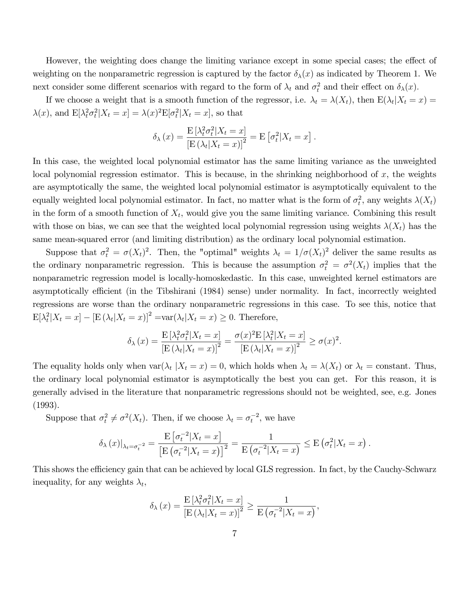However, the weighting does change the limiting variance except in some special cases; the effect of weighting on the nonparametric regression is captured by the factor  $\delta_{\lambda}(x)$  as indicated by Theorem 1. We next consider some different scenarios with regard to the form of  $\lambda_t$  and  $\sigma_t^2$  and their effect on  $\delta_{\lambda}(x)$ .

If we choose a weight that is a smooth function of the regressor, i.e.  $\lambda_t = \lambda(X_t)$ , then  $E(\lambda_t | X_t = x) =$  $\lambda(x)$ , and  $E[\lambda_t^2 \sigma_t^2 | X_t = x] = \lambda(x)^2 E[\sigma_t^2 | X_t = x]$ , so that

$$
\delta_{\lambda}(x) = \frac{\mathrm{E}[\lambda_t^2 \sigma_t^2 | X_t = x]}{\left[\mathrm{E}(\lambda_t | X_t = x)\right]^2} = \mathrm{E}[\sigma_t^2 | X_t = x].
$$

In this case, the weighted local polynomial estimator has the same limiting variance as the unweighted local polynomial regression estimator. This is because, in the shrinking neighborhood of  $x$ , the weights are asymptotically the same, the weighted local polynomial estimator is asymptotically equivalent to the equally weighted local polynomial estimator. In fact, no matter what is the form of  $\sigma_t^2$ , any weights  $\lambda(X_t)$ in the form of a smooth function of  $X_t$ , would give you the same limiting variance. Combining this result with those on bias, we can see that the weighted local polynomial regression using weights  $\lambda(X_t)$  has the same mean-squared error (and limiting distribution) as the ordinary local polynomial estimation.

Suppose that  $\sigma_t^2 = \sigma(X_t)^2$ . Then, the "optimal" weights  $\lambda_t = 1/\sigma(X_t)^2$  deliver the same results as the ordinary nonparametric regression. This is because the assumption  $\sigma_t^2 = \sigma^2(X_t)$  implies that the nonparametric regression model is locally-homoskedastic. In this case, unweighted kernel estimators are asymptotically efficient (in the Tibshirani (1984) sense) under normality. In fact, incorrectly weighted regressions are worse than the ordinary nonparametric regressions in this case. To see this, notice that  $\mathbb{E}[\lambda_t^2 | X_t = x] - [\mathbb{E}(\lambda_t | X_t = x)]^2 = \text{var}(\lambda_t | X_t = x) \geq 0.$  Therefore,

$$
\delta_{\lambda}(x) = \frac{\mathcal{E}\left[\lambda_t^2 \sigma_t^2 | X_t = x\right]}{\left[\mathcal{E}\left(\lambda_t | X_t = x\right)\right]^2} = \frac{\sigma(x)^2 \mathcal{E}\left[\lambda_t^2 | X_t = x\right]}{\left[\mathcal{E}\left(\lambda_t | X_t = x\right)\right]^2} \ge \sigma(x)^2.
$$

The equality holds only when  $\text{var}(\lambda_t | X_t = x) = 0$ , which holds when  $\lambda_t = \lambda(X_t)$  or  $\lambda_t = \text{constant}$ . Thus, the ordinary local polynomial estimator is asymptotically the best you can get. For this reason, it is generally advised in the literature that nonparametric regressions should not be weighted, see, e.g. Jones (1993).

Suppose that  $\sigma_t^2 \neq \sigma^2(X_t)$ . Then, if we choose  $\lambda_t = \sigma_t^{-2}$ , we have

$$
\delta_{\lambda}(x)|_{\lambda_t = \sigma_t^{-2}} = \frac{\mathrm{E}\left[\sigma_t^{-2}|X_t = x\right]}{\left[\mathrm{E}\left(\sigma_t^{-2}|X_t = x\right)\right]^2} = \frac{1}{\mathrm{E}\left(\sigma_t^{-2}|X_t = x\right)} \leq \mathrm{E}\left(\sigma_t^{2}|X_t = x\right).
$$

This shows the efficiency gain that can be achieved by local GLS regression. In fact, by the Cauchy-Schwarz inequality, for any weights  $\lambda_t$ ,

$$
\delta_{\lambda}(x) = \frac{\mathrm{E}[\lambda_t^2 \sigma_t^2 | X_t = x]}{\left[\mathrm{E}(\lambda_t | X_t = x)\right]^2} \ge \frac{1}{\mathrm{E}(\sigma_t^{-2} | X_t = x)},
$$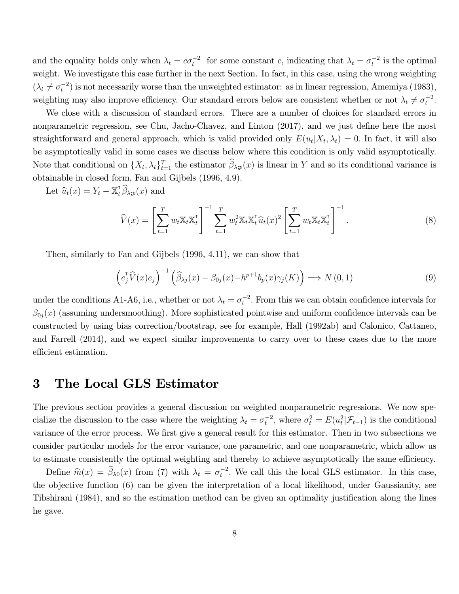and the equality holds only when  $\lambda_t = c\sigma_t^{-2}$  for some constant c, indicating that  $\lambda_t = \sigma_t^{-2}$  is the optimal weight. We investigate this case further in the next Section. In fact, in this case, using the wrong weighting  $(\lambda_t \neq \sigma_t^{-2})$  is not necessarily worse than the unweighted estimator: as in linear regression, Amemiya (1983), weighting may also improve efficiency. Our standard errors below are consistent whether or not  $\lambda_t \neq \sigma_t^{-2}$ .

We close with a discussion of standard errors. There are a number of choices for standard errors in nonparametric regression, see Chu, Jacho-Chavez, and Linton  $(2017)$ , and we just define here the most straightforward and general approach, which is valid provided only  $E(u_t|X_t, \lambda_t) = 0$ . In fact, it will also be asymptotically valid in some cases we discuss below where this condition is only valid asymptotically. Note that conditional on  $\{X_t, \lambda_t\}_{t=1}^T$  the estimator  $\hat{\beta}_{\lambda; p}(x)$  is linear in Y and so its conditional variance is obtainable in closed form, Fan and Gijbels (1996, 4.9).

Let  $\widehat{u}_t(x) = Y_t - \mathbb{X}_t^{\mathsf{T}} \widehat{\beta}_{\lambda; p}(x)$  and

$$
\widehat{V}(x) = \left[\sum_{t=1}^{T} w_t \mathbb{X}_t \mathbb{X}_t^{\mathsf{T}}\right]^{-1} \sum_{t=1}^{T} w_t^2 \mathbb{X}_t \mathbb{X}_t^{\mathsf{T}} \widehat{u}_t(x)^2 \left[\sum_{t=1}^{T} w_t \mathbb{X}_t \mathbb{X}_t^{\mathsf{T}}\right]^{-1}.
$$
\n(8)

Then, similarly to Fan and Gijbels (1996, 4.11), we can show that

$$
\left(e_j^{\dagger}\widehat{V}(x)e_j\right)^{-1}\left(\widehat{\beta}_{\lambda j}(x)-\beta_{0j}(x)-h^{p+1}b_p(x)\gamma_j(K)\right)\Longrightarrow N(0,1)\tag{9}
$$

under the conditions A1-A6, i.e., whether or not  $\lambda_t = \sigma_t^{-2}$ . From this we can obtain confidence intervals for  $\beta_{0j}(x)$  (assuming undersmoothing). More sophisticated pointwise and uniform confidence intervals can be constructed by using bias correction/bootstrap, see for example, Hall (1992ab) and Calonico, Cattaneo, and Farrell (2014), and we expect similar improvements to carry over to these cases due to the more efficient estimation.

## 3 The Local GLS Estimator

The previous section provides a general discussion on weighted nonparametric regressions. We now specialize the discussion to the case where the weighting  $\lambda_t = \sigma_t^{-2}$ , where  $\sigma_t^2 = E(u_t^2 | \mathcal{F}_{t-1})$  is the conditional variance of the error process. We first give a general result for this estimator. Then in two subsections we consider particular models for the error variance, one parametric, and one nonparametric, which allow us to estimate consistently the optimal weighting and thereby to achieve asymptotically the same efficiency.

Define  $\hat{m}(x) = \hat{\beta}_{\lambda 0}(x)$  from (7) with  $\lambda_t = \sigma_t^{-2}$ . We call this the local GLS estimator. In this case, the objective function (6) can be given the interpretation of a local likelihood, under Gaussianity, see Tibshirani (1984), and so the estimation method can be given an optimality justification along the lines he gave.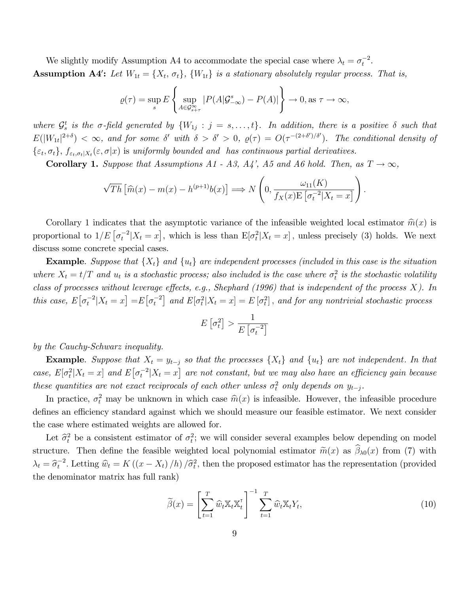We slightly modify Assumption A4 to accommodate the special case where  $\lambda_t = \sigma_t^{-2}$ . **Assumption A4':** Let  $W_{1t} = \{X_t, \sigma_t\}$ ,  $\{W_{1t}\}\$ is a stationary absolutely regular process. That is,

$$
\varrho(\tau) = \sup_{s} E \left\{ \sup_{A \in \mathcal{G}_{s+\tau}^{\infty}} |P(A|\mathcal{G}_{-\infty}^{s}) - P(A)| \right\} \to 0, \text{ as } \tau \to \infty,
$$

where  $\mathcal{G}_s^t$  is the  $\sigma$ -field generated by  $\{W_{1j} : j = s, \ldots, t\}$ . In addition, there is a positive  $\delta$  such that  $E(|W_{1t}|^{2+\delta}) < \infty$ , and for some  $\delta'$  with  $\delta > \delta' > 0$ ,  $\varrho(\tau) = O(\tau^{-(2+\delta')/\delta'})$ . The conditional density of  $\{\varepsilon_t, \sigma_t\}, f_{\varepsilon_t, \sigma_t|X_t}(\varepsilon, \sigma|x)$  is uniformly bounded and has continuous partial derivatives.

**Corollary 1.** Suppose that Assumptions A1 - A3, A4', A5 and A6 hold. Then, as  $T \rightarrow \infty$ ,

$$
\sqrt{Th}\left[\widehat{m}(x) - m(x) - h^{(p+1)}b(x)\right] \Longrightarrow N\left(0, \frac{\omega_{11}(K)}{f_X(x)E\left[\sigma_t^{-2}|X_t = x\right]}\right)
$$

Corollary 1 indicates that the asymptotic variance of the infeasible weighted local estimator  $\hat{m}(x)$  is proportional to  $1/E\left[\sigma_t^{-2}|X_t=x\right]$ , which is less than  $E[\sigma_t^2|X_t=x]$ , unless precisely (3) holds. We next discuss some concrete special cases.

**Example.** Suppose that  $\{X_t\}$  and  $\{u_t\}$  are independent processes (included in this case is the situation where  $X_t = t/T$  and  $u_t$  is a stochastic process; also included is the case where  $\sigma_t^2$  is the stochastic volatility class of processes without leverage effects, e.g., Shephard (1996) that is independent of the process  $X$ ). In this case,  $E\big[\sigma_t^{-2} | X_t = x\big] = E\big[\sigma_t^{-2}\big]$  and  $E\big[\sigma_t^2 | X_t = x\big] = E\big[\sigma_t^2\big]$ , and for any nontrivial stochastic process

$$
E\left[\sigma_t^2\right] > \frac{1}{E\left[\sigma_t^{-2}\right]}
$$

by the Cauchy-Schwarz inequality.

**Example.** Suppose that  $X_t = y_{t-j}$  so that the processes  $\{X_t\}$  and  $\{u_t\}$  are not independent. In that case,  $E[\sigma_t^2 | X_t = x]$  and  $E[\sigma_t^{-2} | X_t = x]$  are not constant, but we may also have an efficiency gain because these quantities are not exact reciprocals of each other unless  $\sigma_t^2$  only depends on  $y_{t-j}$ .

In practice,  $\sigma_t^2$  may be unknown in which case  $\hat{m}(x)$  is infeasible. However, the infeasible procedure defines an efficiency standard against which we should measure our feasible estimator. We next consider the case where estimated weights are allowed for.

Let  $\hat{\sigma}_t^2$  be a consistent estimator of  $\sigma_t^2$ ; we will consider several examples below depending on model structure. Then define the feasible weighted local polynomial estimator  $\tilde{m}(x)$  as  $\hat{\beta}_{\lambda 0}(x)$  from (7) with  $\lambda_t = \hat{\sigma}_t^{-2}$ . Letting  $\hat{w}_t = K((x - X_t)/h)/\hat{\sigma}_t^2$ , then the proposed estimator has the representation (provided the denominator matrix has full rank)

$$
\widetilde{\beta}(x) = \left[\sum_{t=1}^{T} \widehat{w}_t \mathbb{X}_t \mathbb{X}_t^{\mathsf{T}}\right]^{-1} \sum_{t=1}^{T} \widehat{w}_t \mathbb{X}_t Y_t, \tag{10}
$$

: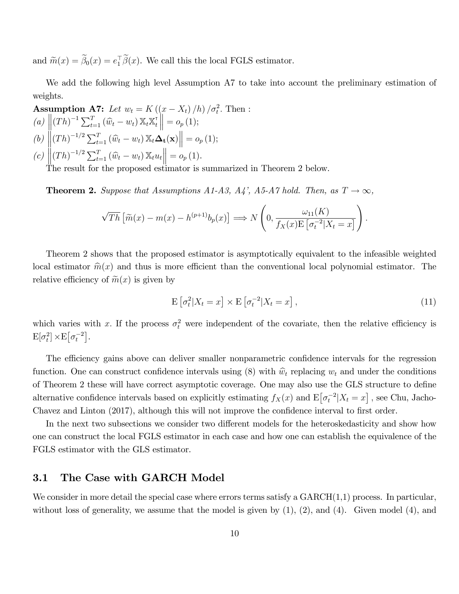and  $\widetilde{m}(x) = \beta_0(x) = e_1^{\dagger} \beta(x)$ . We call this the local FGLS estimator.

We add the following high level Assumption A7 to take into account the preliminary estimation of weights.

**Assumption A7:** Let 
$$
w_t = K((x - X_t)/h)/\sigma_t^2
$$
. Then :  
\n(a)  $\|(Th)^{-1} \sum_{t=1}^T (\widehat{w}_t - w_t) \mathbb{X}_t \mathbb{X}_t^{\mathsf{T}} \| = o_p(1);$   
\n(b)  $\|(Th)^{-1/2} \sum_{t=1}^T (\widehat{w}_t - w_t) \mathbb{X}_t \Delta_{\mathbf{t}}(\mathbf{x}) \| = o_p(1);$   
\n(c)  $\|(Th)^{-1/2} \sum_{t=1}^T (\widehat{w}_t - w_t) \mathbb{X}_t u_t \| = o_p(1).$ 

The result for the proposed estimator is summarized in Theorem 2 below.

**Theorem 2.** Suppose that Assumptions A1-A3, A4', A5-A7 hold. Then, as  $T \rightarrow \infty$ ,

$$
\sqrt{Th}\left[\widetilde{m}(x)-m(x)-h^{(p+1)}b_p(x)\right] \Longrightarrow N\left(0,\frac{\omega_{11}(K)}{f_X(x)E\left[\sigma_t^{-2}|X_t=x\right]}\right).
$$

Theorem 2 shows that the proposed estimator is asymptotically equivalent to the infeasible weighted local estimator  $\hat{m}(x)$  and thus is more efficient than the conventional local polynomial estimator. The relative efficiency of  $\widetilde{m}(x)$  is given by

$$
\mathbf{E}\left[\sigma_t^2|X_t=x\right] \times \mathbf{E}\left[\sigma_t^{-2}|X_t=x\right],\tag{11}
$$

which varies with x. If the process  $\sigma_t^2$  were independent of the covariate, then the relative efficiency is  $\mathbf{E}[\sigma_t^2] \times \mathbf{E}[\sigma_t^{-2}].$ 

The efficiency gains above can deliver smaller nonparametric confidence intervals for the regression function. One can construct confidence intervals using (8) with  $\hat{w}_t$  replacing  $w_t$  and under the conditions of Theorem 2 these will have correct asymptotic coverage. One may also use the GLS structure to define alternative confidence intervals based on explicitly estimating  $f_X(x)$  and  $E[\sigma_t^{-2}|X_t=x]$ , see Chu, Jacho-Chavez and Linton (2017), although this will not improve the confidence interval to first order.

In the next two subsections we consider two different models for the heteroskedasticity and show how one can construct the local FGLS estimator in each case and how one can establish the equivalence of the FGLS estimator with the GLS estimator.

#### 3.1 The Case with GARCH Model

We consider in more detail the special case where errors terms satisfy a  $GARCH(1,1)$  process. In particular, without loss of generality, we assume that the model is given by  $(1)$ ,  $(2)$ , and  $(4)$ . Given model  $(4)$ , and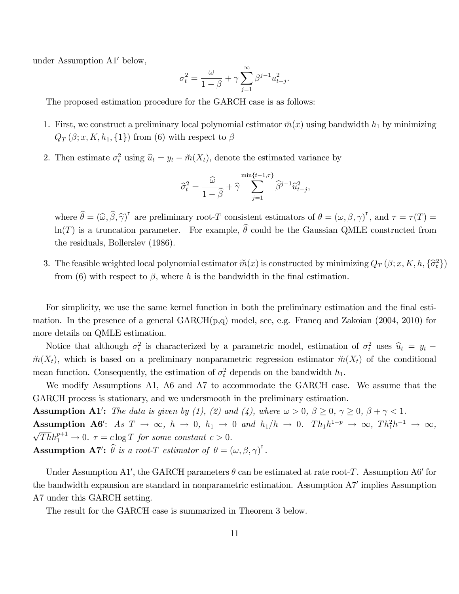under Assumption  $A1'$  below,

$$
\sigma_t^2 = \frac{\omega}{1-\beta} + \gamma \sum_{j=1}^\infty \beta^{j-1} u_{t-j}^2.
$$

The proposed estimation procedure for the GARCH case is as follows:

- 1. First, we construct a preliminary local polynomial estimator  $\tilde{m}(x)$  using bandwidth  $h_1$  by minimizing  $Q_T(\beta; x, K, h_1, \{1\})$  from (6) with respect to  $\beta$
- 2. Then estimate  $\sigma_t^2$  using  $\hat{u}_t = y_t \check{m}(X_t)$ , denote the estimated variance by

$$
\widehat{\sigma}^2_t = \frac{\widehat{\omega}}{1-\widehat{\beta}} + \widehat{\gamma} \sum_{j=1}^{\min\{t-1,\tau\}} \widehat{\beta}^{j-1} \widehat{u}^2_{t-j},
$$

where  $\widehat{\theta} = (\widehat{\omega}, \widehat{\beta}, \widehat{\gamma})^{\dagger}$  are preliminary root-T consistent estimators of  $\theta = (\omega, \beta, \gamma)^{\dagger}$ , and  $\tau = \tau(T) =$  $\ln(T)$  is a truncation parameter. For example,  $\hat{\theta}$  could be the Gaussian QMLE constructed from the residuals, Bollerslev (1986).

3. The feasible weighted local polynomial estimator  $\widetilde{m}(x)$  is constructed by minimizing  $Q_T(\beta; x, K, h, \{\widehat{\sigma}_t^2\})$ from (6) with respect to  $\beta$ , where h is the bandwidth in the final estimation.

For simplicity, we use the same kernel function in both the preliminary estimation and the final estimation. In the presence of a general GARCH(p,q) model, see, e.g. Francq and Zakoian (2004, 2010) for more details on QMLE estimation.

Notice that although  $\sigma_t^2$  is characterized by a parametric model, estimation of  $\sigma_t^2$  uses  $\hat{u}_t = y_t$  –  $m(X_t)$ , which is based on a preliminary nonparametric regression estimator  $m(X_t)$  of the conditional mean function. Consequently, the estimation of  $\sigma_t^2$  depends on the bandwidth  $h_1$ .

We modify Assumptions A1, A6 and A7 to accommodate the GARCH case. We assume that the GARCH process is stationary, and we undersmooth in the preliminary estimation.

**Assumption A1':** The data is given by (1), (2) and (4), where  $\omega > 0$ ,  $\beta \ge 0$ ,  $\gamma \ge 0$ ,  $\beta + \gamma < 1$ . **Assumption A6':** As  $T \to \infty$ ,  $h \to 0$ ,  $h_1 \to 0$  and  $h_1/h \to 0$ .  $Th_1h^{1+p} \to \infty$ ,  $Th_1^2h^{-1} \to \infty$ ,<br> $\sqrt{Th}h^{p+1} \to 0$ ,  $\tau = \text{clog }T$  for some constant  $\epsilon > 0$ .  $\overline{Th}h_1^{p+1} \to 0.$   $\tau = c \log T$  for some constant  $c > 0.$ **Assumption A7':**  $\widehat{\theta}$  is a root-T estimator of  $\theta = (\omega, \beta, \gamma)^{\dagger}$ .

Under Assumption A1', the GARCH parameters  $\theta$  can be estimated at rate root-T. Assumption A6' for the bandwidth expansion are standard in nonparametric estimation. Assumption A7' implies Assumption A7 under this GARCH setting.

The result for the GARCH case is summarized in Theorem 3 below.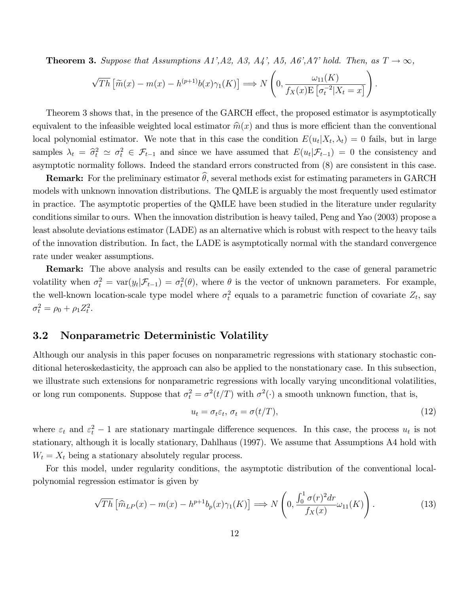**Theorem 3.** Suppose that Assumptions A1',A2, A3, A4', A5, A6',A7' hold. Then, as  $T \rightarrow \infty$ ,

$$
\sqrt{Th}\left[\widetilde{m}(x) - m(x) - h^{(p+1)}b(x)\gamma_1(K)\right] \Longrightarrow N\left(0, \frac{\omega_{11}(K)}{f_X(x)E\left[\sigma_t^{-2}|X_t=x\right]}\right)
$$

Theorem 3 shows that, in the presence of the GARCH effect, the proposed estimator is asymptotically equivalent to the infeasible weighted local estimator  $\hat{m}(x)$  and thus is more efficient than the conventional local polynomial estimator. We note that in this case the condition  $E(u_t|X_t, \lambda_t) = 0$  fails, but in large samples  $\lambda_t = \hat{\sigma}_t^2 \simeq \sigma_t^2 \in \mathcal{F}_{t-1}$  and since we have assumed that  $E(u_t | \mathcal{F}_{t-1}) = 0$  the consistency and asymptotic normality follows. Indeed the standard errors constructed from (8) are consistent in this case.

**Remark:** For the preliminary estimator  $\hat{\theta}$ , several methods exist for estimating parameters in GARCH models with unknown innovation distributions. The QMLE is arguably the most frequently used estimator in practice. The asymptotic properties of the QMLE have been studied in the literature under regularity conditions similar to ours. When the innovation distribution is heavy tailed, Peng and Yao (2003) propose a least absolute deviations estimator (LADE) as an alternative which is robust with respect to the heavy tails of the innovation distribution. In fact, the LADE is asymptotically normal with the standard convergence rate under weaker assumptions.

Remark: The above analysis and results can be easily extended to the case of general parametric volatility when  $\sigma_t^2 = \text{var}(y_t | \mathcal{F}_{t-1}) = \sigma_t^2(\theta)$ , where  $\theta$  is the vector of unknown parameters. For example, the well-known location-scale type model where  $\sigma_t^2$  equals to a parametric function of covariate  $Z_t$ , say  $\sigma_t^2 = \rho_0 + \rho_1 Z_t^2.$ 

#### 3.2 Nonparametric Deterministic Volatility

Although our analysis in this paper focuses on nonparametric regressions with stationary stochastic conditional heteroskedasticity, the approach can also be applied to the nonstationary case. In this subsection, we illustrate such extensions for nonparametric regressions with locally varying unconditional volatilities, or long run components. Suppose that  $\sigma_t^2 = \sigma^2(t/T)$  with  $\sigma^2(\cdot)$  a smooth unknown function, that is,

$$
u_t = \sigma_t \varepsilon_t, \, \sigma_t = \sigma(t/T), \tag{12}
$$

:

where  $\varepsilon_t$  and  $\varepsilon_t^2 - 1$  are stationary martingale difference sequences. In this case, the process  $u_t$  is not stationary, although it is locally stationary, Dahlhaus (1997). We assume that Assumptions A4 hold with  $W_t = X_t$  being a stationary absolutely regular process.

For this model, under regularity conditions, the asymptotic distribution of the conventional localpolynomial regression estimator is given by

$$
\sqrt{Th}\left[\widehat{m}_{LP}(x) - m(x) - h^{p+1}b_p(x)\gamma_1(K)\right] \Longrightarrow N\left(0, \frac{\int_0^1 \sigma(r)^2 dr}{f_X(x)}\omega_{11}(K)\right). \tag{13}
$$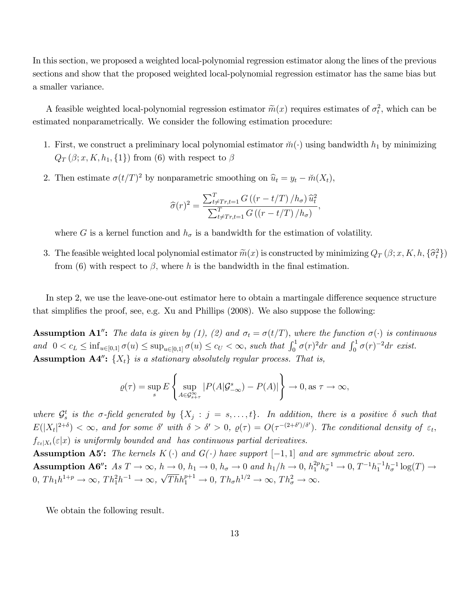In this section, we proposed a weighted local-polynomial regression estimator along the lines of the previous sections and show that the proposed weighted local-polynomial regression estimator has the same bias but a smaller variance.

A feasible weighted local-polynomial regression estimator  $\tilde{m}(x)$  requires estimates of  $\sigma_t^2$ , which can be estimated nonparametrically. We consider the following estimation procedure:

- 1. First, we construct a preliminary local polynomial estimator  $\breve{m}(\cdot)$  using bandwidth  $h_1$  by minimizing  $Q_T(\beta; x, K, h_1, \{1\})$  from (6) with respect to  $\beta$
- 2. Then estimate  $\sigma(t/T)^2$  by nonparametric smoothing on  $\hat{u}_t = y_t \check{m}(X_t)$ ,

$$
\widehat{\sigma}(r)^{2} = \frac{\sum_{t \neq Tr, t=1}^{T} G\left(\left(r - t/T\right) / h_{\sigma}\right) \widehat{u}_{t}^{2}}{\sum_{t \neq Tr, t=1}^{T} G\left(\left(r - t/T\right) / h_{\sigma}\right)},
$$

where G is a kernel function and  $h_{\sigma}$  is a bandwidth for the estimation of volatility.

3. The feasible weighted local polynomial estimator  $\widetilde{m}(x)$  is constructed by minimizing  $Q_T(\beta; x, K, h, \{\widehat{\sigma}_t^2\})$ from (6) with respect to  $\beta$ , where h is the bandwidth in the final estimation.

In step 2, we use the leave-one-out estimator here to obtain a martingale difference sequence structure that simplifies the proof, see, e.g. Xu and Phillips  $(2008)$ . We also suppose the following:

**Assumption A1":** The data is given by (1), (2) and  $\sigma_t = \sigma(t/T)$ , where the function  $\sigma(\cdot)$  is continuous and  $0 < c_L \le \inf_{u \in [0,1]} \sigma(u) \le \sup_{u \in [0,1]} \sigma(u) \le c_U < \infty$ , such that  $\int_0^1 \sigma(r)^2 dr$  and  $\int_0^1 \sigma(r)^{-2} dr$  exist. **Assumption A4":**  $\{X_t\}$  is a stationary absolutely regular process. That is,

$$
\varrho(\tau) = \sup_s E\left\{\sup_{A \in \mathcal{G}^\infty_{s+\tau}} |P(A|\mathcal{G}^s_{-\infty}) - P(A)|\right\} \to 0, \text{ as } \tau \to \infty,
$$

where  $\mathcal{G}_s^t$  is the  $\sigma$ -field generated by  $\{X_j : j = s, \ldots, t\}$ . In addition, there is a positive  $\delta$  such that  $E(|X_t|^{2+\delta}) < \infty$ , and for some  $\delta'$  with  $\delta > \delta' > 0$ ,  $\varrho(\tau) = O(\tau^{-(2+\delta')/\delta'})$ . The conditional density of  $\varepsilon_t$ ,  $f_{\varepsilon_t|X_t}(\varepsilon|x)$  is uniformly bounded and has continuous partial derivatives.

**Assumption A5':** The kernels  $K(\cdot)$  and  $G(\cdot)$  have support  $[-1, 1]$  and are symmetric about zero. Assumption A6":  $As T \to \infty$ ,  $h \to 0$ ,  $h_1 \to 0$ ,  $h_{\sigma} \to 0$  and  $h_1/h \to 0$ ,  $h_1^{2p}h_{\sigma}^{-1} \to 0$ ,  $T^{-1}h_1^{-1}h_{\sigma}^{-1} \log(T) \to$  $0, Th_1h^{1+p} \to \infty, Th_1^2h^{-1} \to \infty, \sqrt{Th}h_1^{p+1} \to 0, Th_\sigma h^{1/2} \to \infty, Th_\sigma^2 \to \infty.$ 

We obtain the following result.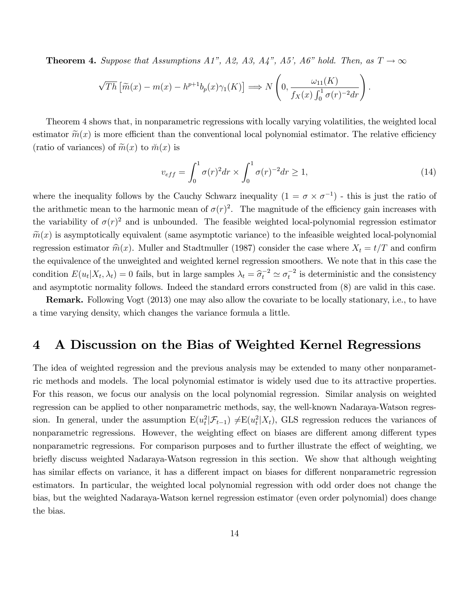**Theorem 4.** Suppose that Assumptions A1", A2, A3, A4", A5', A6" hold. Then, as  $T \rightarrow \infty$ 

$$
\sqrt{Th}\left[\widetilde{m}(x)-m(x)-h^{p+1}b_p(x)\gamma_1(K)\right] \Longrightarrow N\left(0,\frac{\omega_{11}(K)}{f_X(x)\int_0^1 \sigma(r)^{-2}dr}\right).
$$

Theorem 4 shows that, in nonparametric regressions with locally varying volatilities, the weighted local estimator  $\tilde{m}(x)$  is more efficient than the conventional local polynomial estimator. The relative efficiency (ratio of variances) of  $\widetilde{m}(x)$  to  $\widetilde{m}(x)$  is

$$
v_{eff} = \int_0^1 \sigma(r)^2 dr \times \int_0^1 \sigma(r)^{-2} dr \ge 1,
$$
\n(14)

where the inequality follows by the Cauchy Schwarz inequality  $(1 = \sigma \times \sigma^{-1})$  - this is just the ratio of the arithmetic mean to the harmonic mean of  $\sigma(r)^2$ . The magnitude of the efficiency gain increases with the variability of  $\sigma(r)^2$  and is unbounded. The feasible weighted local-polynomial regression estimator  $\widetilde{m}(x)$  is asymptotically equivalent (same asymptotic variance) to the infeasible weighted local-polynomial regression estimator  $\hat{m}(x)$ . Muller and Stadtmuller (1987) consider the case where  $X_t = t/T$  and confirm the equivalence of the unweighted and weighted kernel regression smoothers. We note that in this case the condition  $E(u_t|X_t, \lambda_t) = 0$  fails, but in large samples  $\lambda_t = \hat{\sigma}_t^{-2} \simeq \sigma_t^{-2}$  is deterministic and the consistency and asymptotic normality follows. Indeed the standard errors constructed from (8) are valid in this case.

Remark. Following Vogt (2013) one may also allow the covariate to be locally stationary, i.e., to have a time varying density, which changes the variance formula a little.

## 4 A Discussion on the Bias of Weighted Kernel Regressions

The idea of weighted regression and the previous analysis may be extended to many other nonparametric methods and models. The local polynomial estimator is widely used due to its attractive properties. For this reason, we focus our analysis on the local polynomial regression. Similar analysis on weighted regression can be applied to other nonparametric methods, say, the well-known Nadaraya-Watson regression. In general, under the assumption  $E(u_t^2|\mathcal{F}_{t-1}) \neq E(u_t^2|X_t)$ , GLS regression reduces the variances of nonparametric regressions. However, the weighting effect on biases are different among different types nonparametric regressions. For comparison purposes and to further illustrate the effect of weighting, we briefly discuss weighted Nadaraya-Watson regression in this section. We show that although weighting has similar effects on variance, it has a different impact on biases for different nonparametric regression estimators. In particular, the weighted local polynomial regression with odd order does not change the bias, but the weighted Nadaraya-Watson kernel regression estimator (even order polynomial) does change the bias.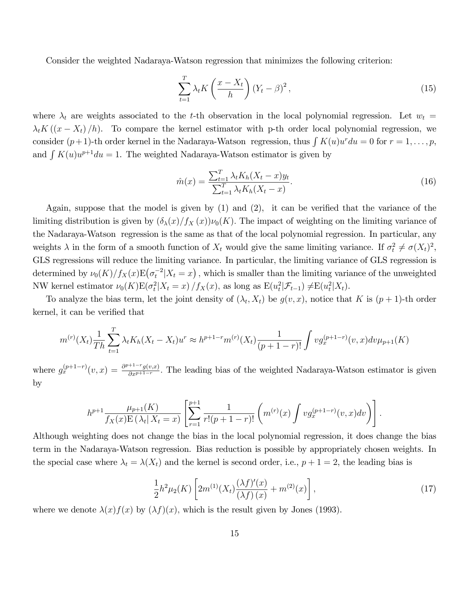Consider the weighted Nadaraya-Watson regression that minimizes the following criterion:

$$
\sum_{t=1}^{T} \lambda_t K\left(\frac{x - X_t}{h}\right) \left(Y_t - \beta\right)^2,\tag{15}
$$

where  $\lambda_t$  are weights associated to the t-th observation in the local polynomial regression. Let  $w_t =$  $\lambda_t K((x - X_t)/h)$ . To compare the kernel estimator with p-th order local polynomial regression, we consider  $(p+1)$ -th order kernel in the Nadaraya-Watson regression, thus  $\int K(u)u^r du = 0$  for  $r = 1, \ldots, p$ , and  $\int K(u)u^{p+1}du = 1$ . The weighted Nadaraya-Watson estimator is given by

$$
\hat{m}(x) = \frac{\sum_{t=1}^{T} \lambda_t K_h (X_t - x) y_t}{\sum_{t=1}^{T} \lambda_t K_h (X_t - x)}.
$$
\n(16)

Again, suppose that the model is given by  $(1)$  and  $(2)$ , it can be verified that the variance of the limiting distribution is given by  $(\delta_{\lambda}(x)/f_X(x))\nu_0(K)$ . The impact of weighting on the limiting variance of the Nadaraya-Watson regression is the same as that of the local polynomial regression. In particular, any weights  $\lambda$  in the form of a smooth function of  $X_t$  would give the same limiting variance. If  $\sigma_t^2 \neq \sigma(X_t)^2$ , GLS regressions will reduce the limiting variance. In particular, the limiting variance of GLS regression is determined by  $\nu_0(K)/f_X(x)E(\sigma_t^{-2}|X_t=x)$ , which is smaller than the limiting variance of the unweighted NW kernel estimator  $\nu_0(K) E(\sigma_t^2 | X_t = x) / f_X(x)$ , as long as  $E(u_t^2 | \mathcal{F}_{t-1}) \neq E(u_t^2 | X_t)$ .

To analyze the bias term, let the joint density of  $(\lambda_t, X_t)$  be  $g(v, x)$ , notice that K is  $(p + 1)$ -th order kernel, it can be verified that

$$
m^{(r)}(X_t) \frac{1}{Th} \sum_{t=1}^T \lambda_t K_h(X_t - X_t) u^r \approx h^{p+1-r} m^{(r)}(X_t) \frac{1}{(p+1-r)!} \int v g_x^{(p+1-r)}(v, x) dv \mu_{p+1}(K)
$$

where  $g_x^{(p+1-r)}(v, x) = \frac{\partial^{p+1-r} g(v, x)}{\partial x^{p+1-r}}$  $\frac{g(v,x)}{\partial x^{p+1-r}}$ . The leading bias of the weighted Nadaraya-Watson estimator is given by

$$
h^{p+1} \frac{\mu_{p+1}(K)}{f_X(x) \to (\lambda_t | X_t = x)} \left[ \sum_{r=1}^{p+1} \frac{1}{r!(p+1-r)!} \left( m^{(r)}(x) \int v g_x^{(p+1-r)}(v, x) dv \right) \right].
$$

Although weighting does not change the bias in the local polynomial regression, it does change the bias term in the Nadaraya-Watson regression. Bias reduction is possible by appropriately chosen weights. In the special case where  $\lambda_t = \lambda(X_t)$  and the kernel is second order, i.e.,  $p + 1 = 2$ , the leading bias is

$$
\frac{1}{2}h^2\mu_2(K)\left[2m^{(1)}(X_t)\frac{(\lambda f)'(x)}{(\lambda f)(x)} + m^{(2)}(x)\right],\tag{17}
$$

where we denote  $\lambda(x)f(x)$  by  $(\lambda f)(x)$ , which is the result given by Jones (1993).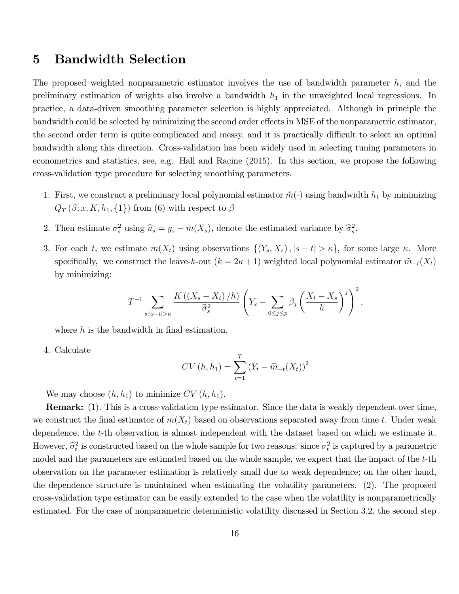## 5 Bandwidth Selection

The proposed weighted nonparametric estimator involves the use of bandwidth parameter  $h$ , and the preliminary estimation of weights also involve a bandwidth  $h_1$  in the unweighted local regressions. In practice, a data-driven smoothing parameter selection is highly appreciated. Although in principle the bandwidth could be selected by minimizing the second order effects in MSE of the nonparametric estimator, the second order term is quite complicated and messy, and it is practically difficult to select an optimal bandwidth along this direction. Cross-validation has been widely used in selecting tuning parameters in econometrics and statistics, see, e.g. Hall and Racine (2015). In this section, we propose the following cross-validation type procedure for selecting smoothing parameters.

- 1. First, we construct a preliminary local polynomial estimator  $\breve{m}(\cdot)$  using bandwidth  $h_1$  by minimizing  $Q_T(\beta; x, K, h_1, \{1\})$  from (6) with respect to  $\beta$
- 2. Then estimate  $\sigma_s^2$  using  $\hat{u}_s = y_s \check{m}(X_s)$ , denote the estimated variance by  $\hat{\sigma}_s^2$ .
- 3. For each t, we estimate  $m(X_t)$  using observations  $\{(Y_s, X_s), |s t| > \kappa\}$ , for some large  $\kappa$ . More specifically, we construct the leave-k-out  $(k = 2\kappa + 1)$  weighted local polynomial estimator  $\widetilde{m}_{-t}(X_t)$ by minimizing:

$$
T^{-1} \sum_{s:|s-t|>\kappa} \frac{K\left(\left(X_s - X_t\right)/h\right)}{\widehat{\sigma}_s^2} \left(Y_s - \sum_{0 \le j \le p} \beta_j \left(\frac{X_t - X_s}{h}\right)^j\right)^2,
$$

where  $h$  is the bandwidth in final estimation.

4. Calculate

$$
CV(h, h_1) = \sum_{t=1}^{T} (Y_t - \widetilde{m}_{-t}(X_t))^2
$$

We may choose  $(h, h_1)$  to minimize  $CV(h, h_1)$ .

Remark: (1). This is a cross-validation type estimator. Since the data is weakly dependent over time, we construct the final estimator of  $m(X_t)$  based on observations separated away from time t. Under weak dependence, the t-th observation is almost independent with the dataset based on which we estimate it. However,  $\hat{\sigma}_t^2$  is constructed based on the whole sample for two reasons: since  $\sigma_t^2$  is captured by a parametric model and the parameters are estimated based on the whole sample, we expect that the impact of the t-th observation on the parameter estimation is relatively small due to weak dependence; on the other hand, the dependence structure is maintained when estimating the volatility parameters. (2). The proposed cross-validation type estimator can be easily extended to the case when the volatility is nonparametrically estimated. For the case of nonparametric deterministic volatility discussed in Section 3.2, the second step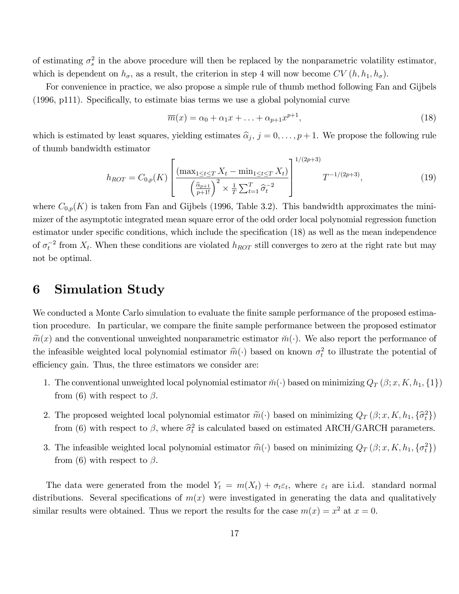of estimating  $\sigma_s^2$  in the above procedure will then be replaced by the nonparametric volatility estimator, which is dependent on  $h_{\sigma}$ , as a result, the criterion in step 4 will now become  $CV(h, h_1, h_{\sigma})$ .

For convenience in practice, we also propose a simple rule of thumb method following Fan and Gijbels  $(1996, p111)$ . Specifically, to estimate bias terms we use a global polynomial curve

$$
\overline{m}(x) = \alpha_0 + \alpha_1 x + \ldots + \alpha_{p+1} x^{p+1},\tag{18}
$$

which is estimated by least squares, yielding estimates  $\hat{\alpha}_j$ ,  $j = 0, \ldots, p + 1$ . We propose the following rule of thumb bandwidth estimator

$$
h_{ROT} = C_{0,p}(K) \left[ \frac{\left( \max_{1 \le t \le T} X_t - \min_{1 \le t \le T} X_t \right)}{\left( \frac{\hat{\alpha}_{p+1}}{p+1!} \right)^2 \times \frac{1}{T} \sum_{t=1}^T \hat{\sigma}_t^{-2}} \right]^{1/(2p+3)} T^{-1/(2p+3)}, \tag{19}
$$

where  $C_{0,p}(K)$  is taken from Fan and Gijbels (1996, Table 3.2). This bandwidth approximates the minimizer of the asymptotic integrated mean square error of the odd order local polynomial regression function estimator under specific conditions, which include the specification (18) as well as the mean independence of  $\sigma_t^{-2}$  from  $X_t$ . When these conditions are violated  $h_{ROT}$  still converges to zero at the right rate but may not be optimal.

## 6 Simulation Study

We conducted a Monte Carlo simulation to evaluate the finite sample performance of the proposed estimation procedure. In particular, we compare the Önite sample performance between the proposed estimator  $\widetilde{m}(x)$  and the conventional unweighted nonparametric estimator  $\widetilde{m}(\cdot)$ . We also report the performance of the infeasible weighted local polynomial estimator  $\hat{m}(\cdot)$  based on known  $\sigma_t^2$  to illustrate the potential of efficiency gain. Thus, the three estimators we consider are:

- 1. The conventional unweighted local polynomial estimator  $\tilde{m}(\cdot)$  based on minimizing  $Q_T(\beta; x, K, h_1, \{1\})$ from (6) with respect to  $\beta$ .
- 2. The proposed weighted local polynomial estimator  $\widetilde{m}(\cdot)$  based on minimizing  $Q_T(\beta; x, K, h_1, {\widehat{\sigma}_t}^2)$ from (6) with respect to  $\beta$ , where  $\hat{\sigma}_t^2$  is calculated based on estimated ARCH/GARCH parameters.
- 3. The infeasible weighted local polynomial estimator  $\hat{m}(\cdot)$  based on minimizing  $Q_T (\beta; x, K, h_1, \{\sigma_t^2\})$ from (6) with respect to  $\beta$ .

The data were generated from the model  $Y_t = m(X_t) + \sigma_t \varepsilon_t$ , where  $\varepsilon_t$  are i.i.d. standard normal distributions. Several specifications of  $m(x)$  were investigated in generating the data and qualitatively similar results were obtained. Thus we report the results for the case  $m(x) = x^2$  at  $x = 0$ .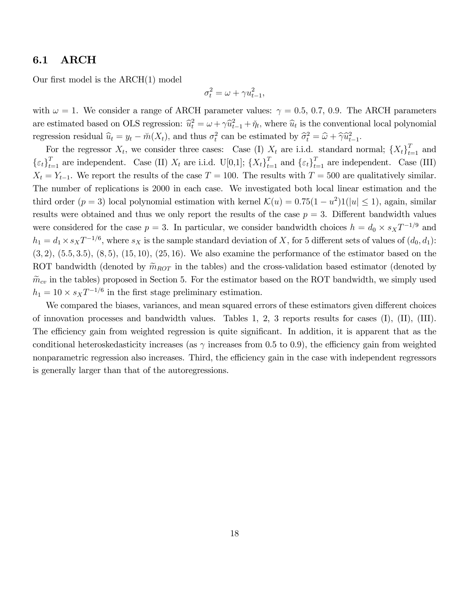#### 6.1 ARCH

Our first model is the  $ARCH(1)$  model

$$
\sigma_t^2 = \omega + \gamma u_{t-1}^2,
$$

with  $\omega = 1$ . We consider a range of ARCH parameter values:  $\gamma = 0.5, 0.7, 0.9$ . The ARCH parameters are estimated based on OLS regression:  $\hat{u}_t^2 = \omega + \gamma \hat{u}_{t-1}^2 + \check{\eta}_t$ , where  $\hat{u}_t$  is the conventional local polynomial regression residual  $\hat{u}_t = y_t - \check{m}(X_t)$ , and thus  $\sigma_t^2$  can be estimated by  $\hat{\sigma}_t^2 = \hat{\omega} + \hat{\gamma} \hat{u}_{t-1}^2$ .

For the regressor  $X_t$ , we consider three cases: Case (I)  $X_t$  are i.i.d. standard normal;  $\{X_t\}_{t=1}^T$  and  $\{\varepsilon_t\}_{t=1}^T$  are independent. Case (II)  $X_t$  are i.i.d. U[0,1];  $\{X_t\}_{t=1}^T$  and  $\{\varepsilon_t\}_{t=1}^T$  are independent. Case (III)  $X_t = Y_{t-1}$ . We report the results of the case  $T = 100$ . The results with  $T = 500$  are qualitatively similar. The number of replications is 2000 in each case. We investigated both local linear estimation and the third order  $(p = 3)$  local polynomial estimation with kernel  $\mathcal{K}(u) = 0.75(1 - u^2)1(|u| \le 1)$ , again, similar results were obtained and thus we only report the results of the case  $p = 3$ . Different bandwidth values were considered for the case  $p = 3$ . In particular, we consider bandwidth choices  $h = d_0 \times s_X T^{-1/9}$  and  $h_1 = d_1 \times s_X T^{-1/6}$ , where  $s_X$  is the sample standard deviation of X, for 5 different sets of values of  $(d_0, d_1)$ :  $(3, 2), (5.5, 3.5), (8, 5), (15, 10), (25, 16)$ . We also examine the performance of the estimator based on the ROT bandwidth (denoted by  $\widetilde{m}_{ROT}$  in the tables) and the cross-validation based estimator (denoted by  $\widetilde{m}_{cv}$  in the tables) proposed in Section 5. For the estimator based on the ROT bandwidth, we simply used  $h_1 = 10 \times s_X T^{-1/6}$  in the first stage preliminary estimation.

We compared the biases, variances, and mean squared errors of these estimators given different choices of innovation processes and bandwidth values. Tables 1, 2, 3 reports results for cases (I), (II), (III). The efficiency gain from weighted regression is quite significant. In addition, it is apparent that as the conditional heteroskedasticity increases (as  $\gamma$  increases from 0.5 to 0.9), the efficiency gain from weighted nonparametric regression also increases. Third, the efficiency gain in the case with independent regressors is generally larger than that of the autoregressions.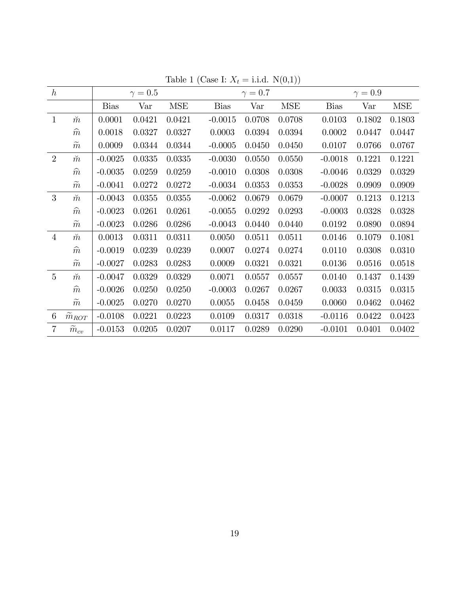| $\hbar$        |                       |             | $\gamma=0.5$ |            |             | $\gamma=0.7$ |            |             | $\gamma=0.9$ |            |
|----------------|-----------------------|-------------|--------------|------------|-------------|--------------|------------|-------------|--------------|------------|
|                |                       | <b>Bias</b> | Var          | <b>MSE</b> | <b>Bias</b> | Var          | <b>MSE</b> | <b>Bias</b> | Var          | <b>MSE</b> |
| $\mathbf{1}$   | $\breve{m}$           | 0.0001      | 0.0421       | 0.0421     | $-0.0015$   | 0.0708       | 0.0708     | 0.0103      | 0.1802       | 0.1803     |
|                | $\widehat{m}$         | 0.0018      | 0.0327       | 0.0327     | 0.0003      | 0.0394       | 0.0394     | 0.0002      | 0.0447       | 0.0447     |
|                | $\widetilde{m}$       | 0.0009      | 0.0344       | 0.0344     | $-0.0005$   | 0.0450       | 0.0450     | 0.0107      | 0.0766       | 0.0767     |
| $\overline{2}$ | $\breve{m}$           | $-0.0025$   | 0.0335       | 0.0335     | $-0.0030$   | 0.0550       | 0.0550     | $-0.0018$   | 0.1221       | 0.1221     |
|                | $\widehat{m}$         | $-0.0035$   | 0.0259       | 0.0259     | $-0.0010$   | 0.0308       | 0.0308     | $-0.0046$   | 0.0329       | 0.0329     |
|                | $\widetilde{m}$       | $-0.0041$   | 0.0272       | 0.0272     | $-0.0034$   | 0.0353       | 0.0353     | $-0.0028$   | 0.0909       | 0.0909     |
| 3              | $\breve{m}$           | $-0.0043$   | 0.0355       | 0.0355     | $-0.0062$   | 0.0679       | 0.0679     | $-0.0007$   | 0.1213       | 0.1213     |
|                | $\widehat{m}$         | $-0.0023$   | 0.0261       | 0.0261     | $-0.0055$   | 0.0292       | 0.0293     | $-0.0003$   | 0.0328       | 0.0328     |
|                | $\widetilde{m}$       | $-0.0023$   | 0.0286       | 0.0286     | $-0.0043$   | 0.0440       | 0.0440     | 0.0192      | 0.0890       | 0.0894     |
| $\overline{4}$ | $\breve m$            | 0.0013      | 0.0311       | 0.0311     | 0.0050      | 0.0511       | 0.0511     | 0.0146      | 0.1079       | 0.1081     |
|                | $\widehat{m}$         | $-0.0019$   | 0.0239       | 0.0239     | 0.0007      | 0.0274       | 0.0274     | 0.0110      | 0.0308       | 0.0310     |
|                | $\widetilde{m}$       | $-0.0027$   | 0.0283       | 0.0283     | 0.0009      | 0.0321       | 0.0321     | 0.0136      | 0.0516       | 0.0518     |
| $\overline{5}$ | $\breve{m}$           | $-0.0047$   | 0.0329       | 0.0329     | 0.0071      | 0.0557       | 0.0557     | 0.0140      | 0.1437       | 0.1439     |
|                | $\widehat{m}$         | $-0.0026$   | 0.0250       | 0.0250     | $-0.0003$   | 0.0267       | 0.0267     | 0.0033      | 0.0315       | 0.0315     |
|                | $\widetilde{m}$       | $-0.0025$   | 0.0270       | 0.0270     | 0.0055      | 0.0458       | 0.0459     | 0.0060      | 0.0462       | 0.0462     |
| 6              | $\widetilde{m}_{ROT}$ | $-0.0108$   | 0.0221       | 0.0223     | 0.0109      | 0.0317       | 0.0318     | $-0.0116$   | 0.0422       | 0.0423     |
| $\overline{7}$ | $m_{cv}$              | $-0.0153$   | 0.0205       | 0.0207     | 0.0117      | 0.0289       | 0.0290     | $-0.0101$   | 0.0401       | 0.0402     |

Table 1 (Case I:  $X_t =$  i.i.d.  $N(0,1)$ )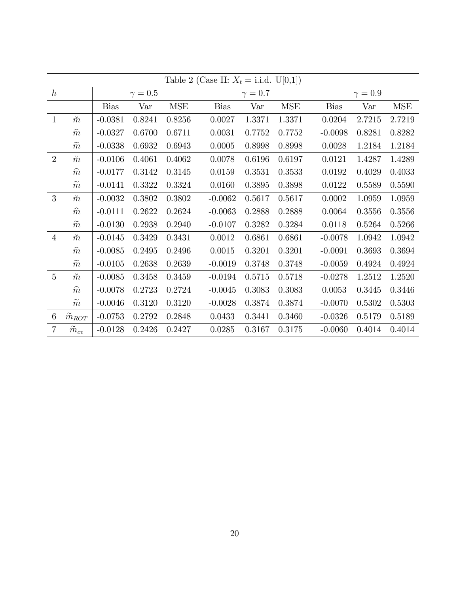|                 | Table 2 (Case II: $X_t = i.i.d. U[0,1]$ ) |             |              |            |             |              |            |             |              |            |  |  |  |
|-----------------|-------------------------------------------|-------------|--------------|------------|-------------|--------------|------------|-------------|--------------|------------|--|--|--|
| $\hbar$         |                                           |             | $\gamma=0.5$ |            |             | $\gamma=0.7$ |            |             | $\gamma=0.9$ |            |  |  |  |
|                 |                                           | <b>Bias</b> | Var          | <b>MSE</b> | <b>Bias</b> | Var          | <b>MSE</b> | <b>Bias</b> | Var          | <b>MSE</b> |  |  |  |
| $\mathbf{1}$    | $\breve{m}$                               | $-0.0381$   | 0.8241       | 0.8256     | 0.0027      | 1.3371       | 1.3371     | 0.0204      | 2.7215       | 2.7219     |  |  |  |
|                 | $\widehat{m}$                             | $-0.0327$   | 0.6700       | 0.6711     | 0.0031      | 0.7752       | 0.7752     | $-0.0098$   | 0.8281       | 0.8282     |  |  |  |
|                 | $\widetilde{m}$                           | $-0.0338$   | 0.6932       | 0.6943     | 0.0005      | 0.8998       | 0.8998     | 0.0028      | 1.2184       | 1.2184     |  |  |  |
| $\overline{2}$  | $\breve{m}$                               | $-0.0106$   | 0.4061       | 0.4062     | 0.0078      | 0.6196       | 0.6197     | 0.0121      | 1.4287       | 1.4289     |  |  |  |
|                 | $\widehat{m}$                             | $-0.0177$   | 0.3142       | 0.3145     | 0.0159      | 0.3531       | 0.3533     | 0.0192      | 0.4029       | 0.4033     |  |  |  |
|                 | $\widetilde{m}$                           | $-0.0141$   | 0.3322       | 0.3324     | 0.0160      | 0.3895       | 0.3898     | 0.0122      | 0.5589       | 0.5590     |  |  |  |
| 3               | $\breve{m}$                               | $-0.0032$   | 0.3802       | 0.3802     | $-0.0062$   | 0.5617       | 0.5617     | 0.0002      | 1.0959       | 1.0959     |  |  |  |
|                 | $\widehat{m}$                             | $-0.0111$   | 0.2622       | 0.2624     | $-0.0063$   | 0.2888       | 0.2888     | 0.0064      | 0.3556       | 0.3556     |  |  |  |
|                 | $\widetilde{m}$                           | $-0.0130$   | 0.2938       | 0.2940     | $-0.0107$   | 0.3282       | 0.3284     | 0.0118      | 0.5264       | 0.5266     |  |  |  |
| $\overline{4}$  | $\breve{m}$                               | $-0.0145$   | 0.3429       | 0.3431     | 0.0012      | 0.6861       | 0.6861     | $-0.0078$   | 1.0942       | 1.0942     |  |  |  |
|                 | $\widehat{m}$                             | $-0.0085$   | 0.2495       | 0.2496     | 0.0015      | 0.3201       | 0.3201     | $-0.0091$   | 0.3693       | 0.3694     |  |  |  |
|                 | $\widetilde{m}$                           | $-0.0105$   | 0.2638       | 0.2639     | $-0.0019$   | 0.3748       | 0.3748     | $-0.0059$   | 0.4924       | 0.4924     |  |  |  |
| $\overline{5}$  | $\breve{m}$                               | $-0.0085$   | 0.3458       | 0.3459     | $-0.0194$   | 0.5715       | 0.5718     | $-0.0278$   | 1.2512       | 1.2520     |  |  |  |
|                 | $\widehat{m}$                             | $-0.0078$   | 0.2723       | 0.2724     | $-0.0045$   | 0.3083       | 0.3083     | 0.0053      | 0.3445       | 0.3446     |  |  |  |
|                 | $\widetilde{m}$                           | $-0.0046$   | 0.3120       | 0.3120     | $-0.0028$   | 0.3874       | 0.3874     | $-0.0070$   | 0.5302       | 0.5303     |  |  |  |
| $6\phantom{.}6$ | $\widetilde{m}_{ROT}$                     | $-0.0753$   | 0.2792       | 0.2848     | 0.0433      | 0.3441       | 0.3460     | $-0.0326$   | 0.5179       | 0.5189     |  |  |  |
| $\overline{7}$  | $\tilde{m}_{cv}$                          | $-0.0128$   | 0.2426       | 0.2427     | 0.0285      | 0.3167       | 0.3175     | $-0.0060$   | 0.4014       | 0.4014     |  |  |  |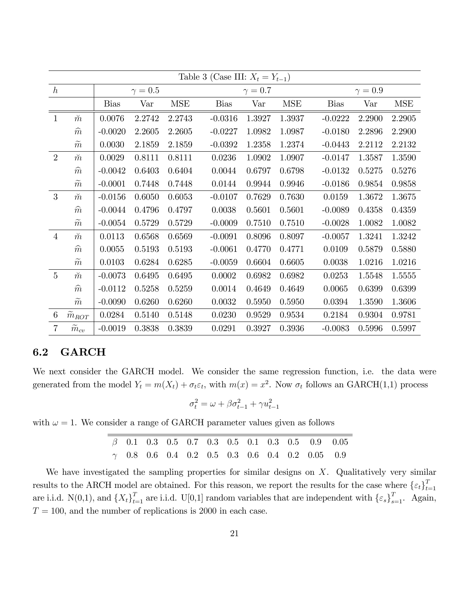|                 | Table 3 (Case III: $X_t = Y_{t-1}$ ) |             |              |            |             |              |            |             |              |            |  |  |  |
|-----------------|--------------------------------------|-------------|--------------|------------|-------------|--------------|------------|-------------|--------------|------------|--|--|--|
| $\hbar$         |                                      |             | $\gamma=0.5$ |            |             | $\gamma=0.7$ |            |             | $\gamma=0.9$ |            |  |  |  |
|                 |                                      | <b>Bias</b> | Var          | <b>MSE</b> | <b>Bias</b> | Var          | <b>MSE</b> | <b>Bias</b> | Var          | <b>MSE</b> |  |  |  |
| $\mathbf{1}$    | $\breve{m}$                          | 0.0076      | 2.2742       | 2.2743     | $-0.0316$   | 1.3927       | 1.3937     | $-0.0222$   | 2.2900       | 2.2905     |  |  |  |
|                 | $\widehat{m}$                        | $-0.0020$   | 2.2605       | 2.2605     | $-0.0227$   | 1.0982       | 1.0987     | $-0.0180$   | 2.2896       | 2.2900     |  |  |  |
|                 | $\widetilde{m}$                      | 0.0030      | 2.1859       | 2.1859     | $-0.0392$   | 1.2358       | 1.2374     | $-0.0443$   | 2.2112       | 2.2132     |  |  |  |
| $\overline{2}$  | $\breve{m}$                          | 0.0029      | 0.8111       | 0.8111     | 0.0236      | 1.0902       | 1.0907     | $-0.0147$   | 1.3587       | 1.3590     |  |  |  |
|                 | $\widehat{m}$                        | $-0.0042$   | 0.6403       | 0.6404     | 0.0044      | 0.6797       | 0.6798     | $-0.0132$   | 0.5275       | 0.5276     |  |  |  |
|                 | $\widetilde{m}$                      | $-0.0001$   | 0.7448       | 0.7448     | 0.0144      | 0.9944       | 0.9946     | $-0.0186$   | 0.9854       | 0.9858     |  |  |  |
| 3               | $\breve{m}$                          | $-0.0156$   | 0.6050       | 0.6053     | $-0.0107$   | 0.7629       | 0.7630     | 0.0159      | 1.3672       | 1.3675     |  |  |  |
|                 | $\widehat{m}$                        | $-0.0044$   | 0.4796       | 0.4797     | 0.0038      | 0.5601       | 0.5601     | $-0.0089$   | 0.4358       | 0.4359     |  |  |  |
|                 | $\widetilde{m}$                      | $-0.0054$   | 0.5729       | 0.5729     | $-0.0009$   | 0.7510       | 0.7510     | $-0.0028$   | 1.0082       | 1.0082     |  |  |  |
| $\overline{4}$  | $\breve{m}$                          | 0.0113      | 0.6568       | 0.6569     | $-0.0091$   | 0.8096       | 0.8097     | $-0.0057$   | 1.3241       | 1.3242     |  |  |  |
|                 | $\widehat{m}$                        | 0.0055      | 0.5193       | 0.5193     | $-0.0061$   | 0.4770       | 0.4771     | 0.0109      | 0.5879       | 0.5880     |  |  |  |
|                 | $\widetilde{m}$                      | 0.0103      | 0.6284       | 0.6285     | $-0.0059$   | 0.6604       | 0.6605     | 0.0038      | 1.0216       | 1.0216     |  |  |  |
| $\overline{5}$  | $\breve{m}$                          | $-0.0073$   | 0.6495       | 0.6495     | 0.0002      | 0.6982       | 0.6982     | 0.0253      | 1.5548       | 1.5555     |  |  |  |
|                 | $\widehat{m}$                        | $-0.0112$   | 0.5258       | 0.5259     | 0.0014      | 0.4649       | 0.4649     | 0.0065      | 0.6399       | 0.6399     |  |  |  |
|                 | $\widetilde{m}$                      | $-0.0090$   | 0.6260       | 0.6260     | 0.0032      | 0.5950       | 0.5950     | 0.0394      | 1.3590       | 1.3606     |  |  |  |
| $6\phantom{.}6$ | $\widetilde{m}_{ROT}$                | 0.0284      | 0.5140       | 0.5148     | 0.0230      | 0.9529       | 0.9534     | 0.2184      | 0.9304       | 0.9781     |  |  |  |
| $\overline{7}$  | $m_{cv}$                             | $-0.0019$   | 0.3838       | 0.3839     | 0.0291      | 0.3927       | 0.3936     | $-0.0083$   | 0.5996       | 0.5997     |  |  |  |

#### 6.2 GARCH

We next consider the GARCH model. We consider the same regression function, i.e. the data were generated from the model  $Y_t = m(X_t) + \sigma_t \varepsilon_t$ , with  $m(x) = x^2$ . Now  $\sigma_t$  follows an GARCH(1,1) process

$$
\sigma_t^2 = \omega + \beta \sigma_{t-1}^2 + \gamma u_{t-1}^2
$$

with  $\omega = 1$ . We consider a range of GARCH parameter values given as follows

 $\beta$  0.1 0.3 0.5 0.7 0.3 0.5 0.1 0.3 0.5 0.9 0.05  $\gamma$  0.8 0.6 0.4 0.2 0.5 0.3 0.6 0.4 0.2 0.05 0.9

We have investigated the sampling properties for similar designs on  $X$ . Qualitatively very similar results to the ARCH model are obtained. For this reason, we report the results for the case where  $\{\varepsilon_t\}_{t=1}^T$  $t=1$ are i.i.d. N(0,1), and  $\{X_t\}_{t=1}^T$  are i.i.d. U[0,1] random variables that are independent with  $\{\varepsilon_s\}_{s=1}^T$ . Again,  $T = 100$ , and the number of replications is 2000 in each case.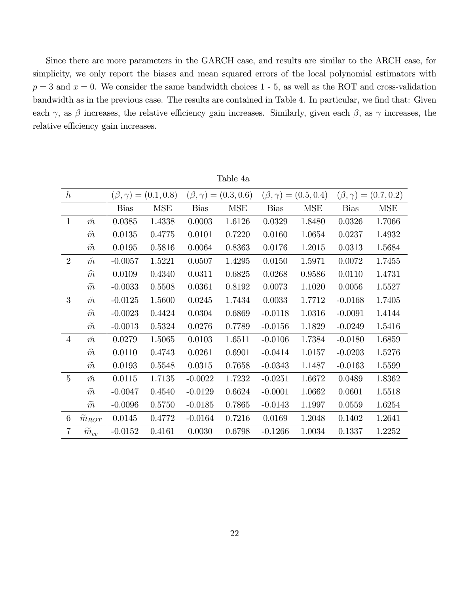Since there are more parameters in the GARCH case, and results are similar to the ARCH case, for simplicity, we only report the biases and mean squared errors of the local polynomial estimators with  $p = 3$  and  $x = 0$ . We consider the same bandwidth choices 1 - 5, as well as the ROT and cross-validation bandwidth as in the previous case. The results are contained in Table 4. In particular, we find that: Given each  $\gamma$ , as  $\beta$  increases, the relative efficiency gain increases. Similarly, given each  $\beta$ , as  $\gamma$  increases, the relative efficiency gain increases.

| $\hbar$        |                   | $(\beta, \gamma)$<br>$\hspace*{0.4em} = \hspace*{0.4em}$ | (0.1, 0.8) | $(\beta,\gamma)$<br>$\!\!\!=\!\!\!$ | (0.3, 0.6) | $(\beta,\gamma)$<br>$\!\!\!=\!\!\!\!$ | (0.5, 0.4) | (0.7, 0.2)<br>$(\beta,\gamma)$<br>$\displaystyle \qquad \qquad =\qquad \qquad$ |            |
|----------------|-------------------|----------------------------------------------------------|------------|-------------------------------------|------------|---------------------------------------|------------|--------------------------------------------------------------------------------|------------|
|                |                   | <b>Bias</b>                                              | <b>MSE</b> | <b>Bias</b>                         | <b>MSE</b> | <b>Bias</b>                           | <b>MSE</b> | <b>Bias</b>                                                                    | <b>MSE</b> |
| $\mathbf{1}$   | $\breve{m}$       | 0.0385                                                   | 1.4338     | 0.0003                              | 1.6126     | 0.0329                                | 1.8480     | 0.0326                                                                         | 1.7066     |
|                | $\widehat{m}$     | 0.0135                                                   | 0.4775     | 0.0101                              | 0.7220     | 0.0160                                | 1.0654     | 0.0237                                                                         | 1.4932     |
|                | $\widetilde{m}$   | 0.0195                                                   | 0.5816     | 0.0064                              | 0.8363     | 0.0176                                | 1.2015     | 0.0313                                                                         | 1.5684     |
| $\overline{2}$ | $\breve{m}$       | $-0.0057$                                                | 1.5221     | 0.0507                              | 1.4295     | 0.0150                                | 1.5971     | 0.0072                                                                         | 1.7455     |
|                | $\widehat{m}$     | 0.0109                                                   | 0.4340     | 0.0311                              | 0.6825     | 0.0268                                | 0.9586     | 0.0110                                                                         | 1.4731     |
|                | $\widetilde{m}$   | $-0.0033$                                                | 0.5508     | 0.0361                              | 0.8192     | 0.0073                                | 1.1020     | 0.0056                                                                         | 1.5527     |
| 3              | $\breve{m}$       | $-0.0125$                                                | 1.5600     | 0.0245                              | 1.7434     | 0.0033                                | 1.7712     | $-0.0168$                                                                      | 1.7405     |
|                | $\widehat{m}$     | $-0.0023$                                                | 0.4424     | 0.0304                              | 0.6869     | $-0.0118$                             | 1.0316     | $-0.0091$                                                                      | 1.4144     |
|                | $\tilde{m}$       | $-0.0013$                                                | 0.5324     | 0.0276                              | 0.7789     | $-0.0156$                             | 1.1829     | $-0.0249$                                                                      | 1.5416     |
| $\overline{4}$ | $\breve{m}$       | 0.0279                                                   | 1.5065     | 0.0103                              | 1.6511     | $-0.0106$                             | 1.7384     | $-0.0180$                                                                      | 1.6859     |
|                | $\widehat{m}$     | 0.0110                                                   | 0.4743     | 0.0261                              | 0.6901     | $-0.0414$                             | 1.0157     | $-0.0203$                                                                      | 1.5276     |
|                | $\boldsymbol{m}$  | 0.0193                                                   | 0.5548     | 0.0315                              | 0.7658     | $-0.0343$                             | 1.1487     | $-0.0163$                                                                      | 1.5599     |
| $\overline{5}$ | $\breve{m}$       | 0.0115                                                   | 1.7135     | $-0.0022$                           | 1.7232     | $-0.0251$                             | 1.6672     | 0.0489                                                                         | 1.8362     |
|                | $\widehat{m}$     | $-0.0047$                                                | 0.4540     | $-0.0129$                           | 0.6624     | $-0.0001$                             | 1.0662     | 0.0601                                                                         | 1.5518     |
|                | $\widetilde{m}$   | $-0.0096$                                                | 0.5750     | $-0.0185$                           | 0.7865     | $-0.0143$                             | 1.1997     | 0.0559                                                                         | 1.6254     |
| 6              | $\tilde{m}_{ROT}$ | 0.0145                                                   | 0.4772     | $-0.0164$                           | 0.7216     | 0.0169                                | 1.2048     | 0.1402                                                                         | 1.2641     |
| $\overline{7}$ | $m_{cv}$          | $-0.0152$                                                | 0.4161     | 0.0030                              | 0.6798     | $-0.1266$                             | 1.0034     | 0.1337                                                                         | 1.2252     |

Table 4a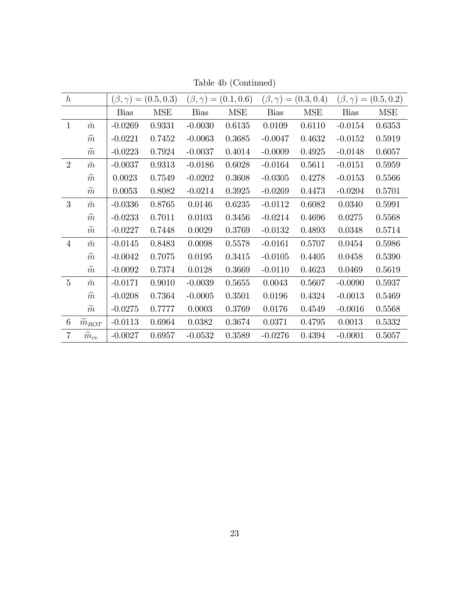| $\hbar$         |                       |             | $(\beta, \gamma) = (0.5, 0.3)$ |             | $(\beta, \gamma) = (0.1, 0.6)$ |             | $(\beta, \gamma) = (0.3, 0.4)$ |             | $(\beta, \gamma) = (0.5, 0.2)$ |
|-----------------|-----------------------|-------------|--------------------------------|-------------|--------------------------------|-------------|--------------------------------|-------------|--------------------------------|
|                 |                       | <b>Bias</b> | <b>MSE</b>                     | <b>Bias</b> | <b>MSE</b>                     | <b>Bias</b> | <b>MSE</b>                     | <b>Bias</b> | <b>MSE</b>                     |
| $\mathbf{1}$    | $\breve{m}$           | $-0.0269$   | 0.9331                         | $-0.0030$   | 0.6135                         | 0.0109      | 0.6110                         | $-0.0154$   | 0.6353                         |
|                 | $\widehat{m}$         | $-0.0221$   | 0.7452                         | $-0.0063$   | 0.3685                         | $-0.0047$   | 0.4632                         | $-0.0152$   | 0.5919                         |
|                 | $\widetilde{m}$       | $-0.0223$   | 0.7924                         | $-0.0037$   | 0.4014                         | $-0.0009$   | 0.4925                         | $-0.0148$   | 0.6057                         |
| 2               | $\breve{m}$           | $-0.0037$   | 0.9313                         | $-0.0186$   | 0.6028                         | $-0.0164$   | 0.5611                         | $-0.0151$   | 0.5959                         |
|                 | $\widehat{m}$         | 0.0023      | 0.7549                         | $-0.0202$   | 0.3608                         | $-0.0305$   | 0.4278                         | $-0.0153$   | 0.5566                         |
|                 | $\widetilde{m}$       | 0.0053      | 0.8082                         | $-0.0214$   | 0.3925                         | $-0.0269$   | 0.4473                         | $-0.0204$   | 0.5701                         |
| 3               | $\breve{m}$           | $-0.0336$   | 0.8765                         | 0.0146      | 0.6235                         | $-0.0112$   | 0.6082                         | 0.0340      | 0.5991                         |
|                 | $\widehat{m}$         | $-0.0233$   | 0.7011                         | 0.0103      | 0.3456                         | $-0.0214$   | 0.4696                         | 0.0275      | 0.5568                         |
|                 | $\widetilde{m}$       | $-0.0227$   | 0.7448                         | 0.0029      | 0.3769                         | $-0.0132$   | 0.4893                         | 0.0348      | $0.5714\,$                     |
| $\overline{4}$  | $\breve{m}$           | $-0.0145$   | 0.8483                         | 0.0098      | 0.5578                         | $-0.0161$   | 0.5707                         | 0.0454      | 0.5986                         |
|                 | $\widehat{m}$         | $-0.0042$   | 0.7075                         | 0.0195      | 0.3415                         | $-0.0105$   | 0.4405                         | 0.0458      | 0.5390                         |
|                 | $\widetilde{m}$       | $-0.0092$   | 0.7374                         | 0.0128      | 0.3669                         | $-0.0110$   | 0.4623                         | 0.0469      | 0.5619                         |
| $\overline{5}$  | $\breve{m}$           | $-0.0171$   | 0.9010                         | $-0.0039$   | 0.5655                         | 0.0043      | 0.5607                         | $-0.0090$   | 0.5937                         |
|                 | $\widehat{m}$         | $-0.0208$   | 0.7364                         | $-0.0005$   | 0.3501                         | 0.0196      | 0.4324                         | $-0.0013$   | 0.5469                         |
|                 | $\widetilde{m}$       | $-0.0275$   | 0.7777                         | 0.0003      | 0.3769                         | 0.0176      | 0.4549                         | $-0.0016$   | 0.5568                         |
| $6\phantom{.}6$ | $\widetilde{m}_{ROT}$ | $-0.0113$   | 0.6964                         | 0.0382      | 0.3674                         | 0.0371      | 0.4795                         | 0.0013      | 0.5332                         |
| $\overline{7}$  | $\tilde{m}_{cv}$      | $-0.0027$   | 0.6957                         | $-0.0532$   | 0.3589                         | $-0.0276$   | 0.4394                         | $-0.0001$   | 0.5057                         |

Table 4b (Continued)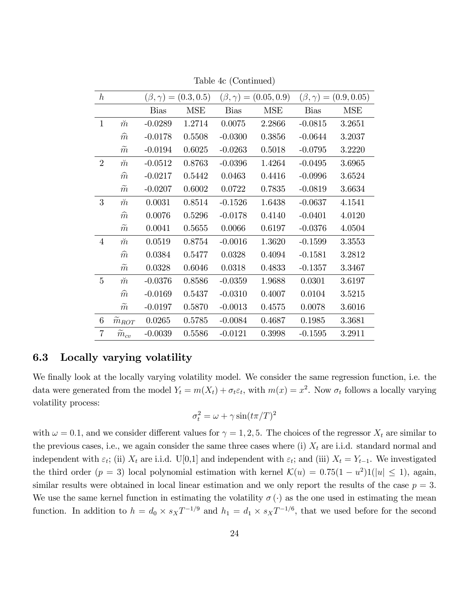| $\hbar$        |                   |             | $(\beta, \gamma) = (0.3, 0.5)$ |             | $(\beta, \gamma) = (0.05, 0.9)$ |             | $(\beta, \gamma) = (0.9, 0.05)$ |
|----------------|-------------------|-------------|--------------------------------|-------------|---------------------------------|-------------|---------------------------------|
|                |                   | <b>Bias</b> | <b>MSE</b>                     | <b>Bias</b> | <b>MSE</b>                      | <b>Bias</b> | <b>MSE</b>                      |
| $\mathbf{1}$   | $\breve{m}$       | $-0.0289$   | 1.2714                         | 0.0075      | 2.2866                          | $-0.0815$   | 3.2651                          |
|                | $\widehat{m}$     | $-0.0178$   | 0.5508                         | $-0.0300$   | 0.3856                          | $-0.0644$   | 3.2037                          |
|                | $\widetilde{m}$   | $-0.0194$   | 0.6025                         | $-0.0263$   | 0.5018                          | $-0.0795$   | 3.2220                          |
| $\overline{2}$ | $\breve{m}$       | $-0.0512$   | 0.8763                         | $-0.0396$   | 1.4264                          | $-0.0495$   | 3.6965                          |
|                | $\widehat{m}$     | $-0.0217$   | 0.5442                         | 0.0463      | 0.4416                          | $-0.0996$   | 3.6524                          |
|                | $\widetilde{m}$   | $-0.0207$   | 0.6002                         | 0.0722      | 0.7835                          | $-0.0819$   | 3.6634                          |
| 3              | $\breve{m}$       | 0.0031      | 0.8514                         | $-0.1526$   | 1.6438                          | $-0.0637$   | 4.1541                          |
|                | $\widehat{m}$     | 0.0076      | 0.5296                         | $-0.0178$   | 0.4140                          | $-0.0401$   | 4.0120                          |
|                | $\overline{m}$    | 0.0041      | 0.5655                         | 0.0066      | 0.6197                          | $-0.0376$   | 4.0504                          |
| 4              | $\breve{m}$       | 0.0519      | 0.8754                         | $-0.0016$   | 1.3620                          | $-0.1599$   | 3.3553                          |
|                | $\widehat{m}$     | 0.0384      | 0.5477                         | 0.0328      | 0.4094                          | $-0.1581$   | 3.2812                          |
|                | $\widetilde{m}$   | 0.0328      | 0.6046                         | 0.0318      | 0.4833                          | $-0.1357$   | 3.3467                          |
| 5              | $\breve{m}$       | $-0.0376$   | 0.8586                         | $-0.0359$   | 1.9688                          | 0.0301      | 3.6197                          |
|                | $\widehat{m}$     | $-0.0169$   | 0.5437                         | $-0.0310$   | 0.4007                          | 0.0104      | 3.5215                          |
|                | $\widetilde{m}$   | $-0.0197$   | 0.5870                         | $-0.0013$   | 0.4575                          | 0.0078      | 3.6016                          |
| 6              | $\tilde{m}_{ROT}$ | 0.0265      | 0.5785                         | $-0.0084$   | 0.4687                          | 0.1985      | 3.3681                          |
| $\overline{7}$ | $m_{cv}$          | $-0.0039$   | 0.5586                         | $-0.0121$   | 0.3998                          | $-0.1595$   | 3.2911                          |

Table 4c (Continued)

#### 6.3 Locally varying volatility

We finally look at the locally varying volatility model. We consider the same regression function, i.e. the data were generated from the model  $Y_t = m(X_t) + \sigma_t \varepsilon_t$ , with  $m(x) = x^2$ . Now  $\sigma_t$  follows a locally varying volatility process:

$$
\sigma_t^2 = \omega + \gamma \sin(t\pi/T)^2
$$

with  $\omega = 0.1$ , and we consider different values for  $\gamma = 1, 2, 5$ . The choices of the regressor  $X_t$  are similar to the previous cases, i.e., we again consider the same three cases where (i)  $X_t$  are i.i.d. standard normal and independent with  $\varepsilon_t$ ; (ii)  $X_t$  are i.i.d. U[0,1] and independent with  $\varepsilon_t$ ; and (iii)  $X_t = Y_{t-1}$ . We investigated the third order  $(p = 3)$  local polynomial estimation with kernel  $\mathcal{K}(u) = 0.75(1 - u^2)1(|u| \le 1)$ , again, similar results were obtained in local linear estimation and we only report the results of the case  $p = 3$ . We use the same kernel function in estimating the volatility  $\sigma(\cdot)$  as the one used in estimating the mean function. In addition to  $h = d_0 \times s_X T^{-1/9}$  and  $h_1 = d_1 \times s_X T^{-1/6}$ , that we used before for the second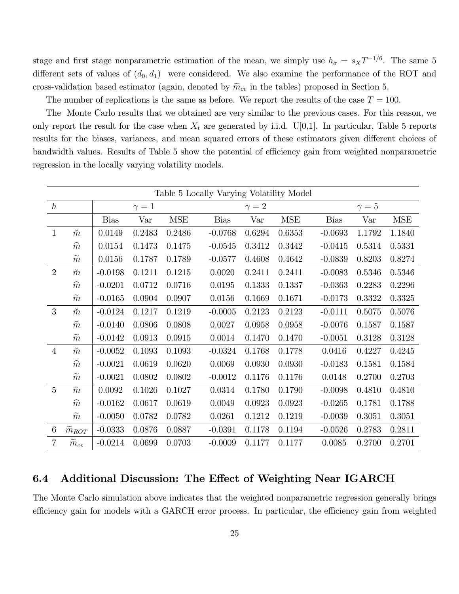stage and first stage nonparametric estimation of the mean, we simply use  $h_{\sigma} = s_X T^{-1/6}$ . The same 5 different sets of values of  $(d_0, d_1)$  were considered. We also examine the performance of the ROT and cross-validation based estimator (again, denoted by  $\widetilde{m}_{cv}$  in the tables) proposed in Section 5.

The number of replications is the same as before. We report the results of the case  $T = 100$ .

The Monte Carlo results that we obtained are very similar to the previous cases. For this reason, we only report the result for the case when  $X_t$  are generated by i.i.d. U[0,1]. In particular, Table 5 reports results for the biases, variances, and mean squared errors of these estimators given different choices of bandwidth values. Results of Table 5 show the potential of efficiency gain from weighted nonparametric regression in the locally varying volatility models.

|                 | Table 5 Locally Varying Volatility Model |             |            |            |             |            |            |             |            |            |  |  |
|-----------------|------------------------------------------|-------------|------------|------------|-------------|------------|------------|-------------|------------|------------|--|--|
| $\hbar$         |                                          |             | $\gamma=1$ |            |             | $\gamma=2$ |            |             | $\gamma=5$ |            |  |  |
|                 |                                          | <b>Bias</b> | Var        | <b>MSE</b> | <b>Bias</b> | Var        | <b>MSE</b> | <b>Bias</b> | Var        | <b>MSE</b> |  |  |
| $\mathbf{1}$    | $\breve{m}$                              | 0.0149      | 0.2483     | 0.2486     | $-0.0768$   | 0.6294     | 0.6353     | $-0.0693$   | 1.1792     | 1.1840     |  |  |
|                 | $\widehat{m}$                            | 0.0154      | 0.1473     | 0.1475     | $-0.0545$   | 0.3412     | 0.3442     | $-0.0415$   | 0.5314     | 0.5331     |  |  |
|                 | $\widetilde{m}$                          | 0.0156      | 0.1787     | 0.1789     | $-0.0577$   | 0.4608     | 0.4642     | $-0.0839$   | 0.8203     | 0.8274     |  |  |
| $\overline{2}$  | $\breve{m}$                              | $-0.0198$   | 0.1211     | 0.1215     | 0.0020      | 0.2411     | 0.2411     | $-0.0083$   | 0.5346     | 0.5346     |  |  |
|                 | $\widehat{m}$                            | $-0.0201$   | 0.0712     | 0.0716     | 0.0195      | 0.1333     | 0.1337     | $-0.0363$   | 0.2283     | 0.2296     |  |  |
|                 | $\widetilde{m}$                          | $-0.0165$   | 0.0904     | 0.0907     | 0.0156      | 0.1669     | 0.1671     | $-0.0173$   | 0.3322     | 0.3325     |  |  |
| 3               | $\breve{m}$                              | $-0.0124$   | 0.1217     | 0.1219     | $-0.0005$   | 0.2123     | 0.2123     | $-0.0111$   | 0.5075     | 0.5076     |  |  |
|                 | $\widehat{m}$                            | $-0.0140$   | 0.0806     | 0.0808     | 0.0027      | 0.0958     | 0.0958     | $-0.0076$   | 0.1587     | 0.1587     |  |  |
|                 | $\widetilde{m}$                          | $-0.0142$   | 0.0913     | 0.0915     | 0.0014      | 0.1470     | 0.1470     | $-0.0051$   | 0.3128     | 0.3128     |  |  |
| $\overline{4}$  | $\breve{m}$                              | $-0.0052$   | 0.1093     | 0.1093     | $-0.0324$   | 0.1768     | 0.1778     | 0.0416      | 0.4227     | 0.4245     |  |  |
|                 | $\widehat{m}$                            | $-0.0021$   | 0.0619     | 0.0620     | 0.0069      | 0.0930     | 0.0930     | $-0.0183$   | 0.1581     | 0.1584     |  |  |
|                 | $\widetilde{m}$                          | $-0.0021$   | 0.0802     | 0.0802     | $-0.0012$   | 0.1176     | 0.1176     | 0.0148      | 0.2700     | 0.2703     |  |  |
| $\overline{5}$  | $\breve{m}$                              | 0.0092      | 0.1026     | 0.1027     | 0.0314      | 0.1780     | 0.1790     | $-0.0098$   | 0.4810     | 0.4810     |  |  |
|                 | $\widehat{m}$                            | $-0.0162$   | 0.0617     | 0.0619     | 0.0049      | 0.0923     | 0.0923     | $-0.0265$   | 0.1781     | 0.1788     |  |  |
|                 | $\widetilde{m}$                          | $-0.0050$   | 0.0782     | 0.0782     | 0.0261      | 0.1212     | 0.1219     | $-0.0039$   | 0.3051     | 0.3051     |  |  |
| $6\phantom{.}6$ | $\widetilde{m}_{ROT}$                    | $-0.0333$   | 0.0876     | 0.0887     | $-0.0391$   | 0.1178     | 0.1194     | $-0.0526$   | 0.2783     | 0.2811     |  |  |
| $\overline{7}$  | $\widetilde{m}_{cv}$                     | $-0.0214$   | 0.0699     | 0.0703     | $-0.0009$   | 0.1177     | 0.1177     | 0.0085      | 0.2700     | 0.2701     |  |  |

#### 6.4 Additional Discussion: The Effect of Weighting Near IGARCH

The Monte Carlo simulation above indicates that the weighted nonparametric regression generally brings efficiency gain for models with a GARCH error process. In particular, the efficiency gain from weighted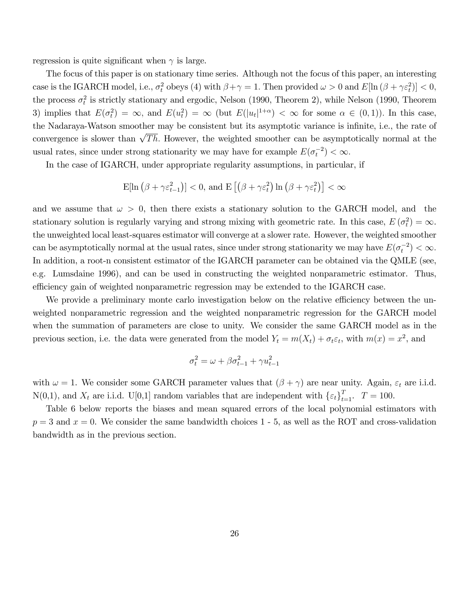regression is quite significant when  $\gamma$  is large.

The focus of this paper is on stationary time series. Although not the focus of this paper, an interesting case is the IGARCH model, i.e.,  $\sigma_t^2$  obeys (4) with  $\beta + \gamma = 1$ . Then provided  $\omega > 0$  and  $E[\ln(\beta + \gamma \varepsilon_t^2)] < 0$ , the process  $\sigma_t^2$  is strictly stationary and ergodic, Nelson (1990, Theorem 2), while Nelson (1990, Theorem 3) implies that  $E(\sigma_t^2) = \infty$ , and  $E(u_t^2) = \infty$  (but  $E(|u_t|^{1+\alpha}) < \infty$  for some  $\alpha \in (0,1)$ ). In this case, the Nadaraya-Watson smoother may be consistent but its asymptotic variance is infinite, i.e., the rate of convergence is slower than  $\sqrt{Th}$ . However, the weighted smoother can be asymptotically normal at the usual rates, since under strong stationarity we may have for example  $E(\sigma_t^{-2}) < \infty$ .

In the case of IGARCH, under appropriate regularity assumptions, in particular, if

$$
\mathrm{E}[\ln\left(\beta + \gamma \varepsilon_{t-1}^2\right)] < 0, \text{ and } \mathrm{E}\left[\left(\beta + \gamma \varepsilon_t^2\right)\ln\left(\beta + \gamma \varepsilon_t^2\right)\right] < \infty
$$

and we assume that  $\omega > 0$ , then there exists a stationary solution to the GARCH model, and the stationary solution is regularly varying and strong mixing with geometric rate. In this case,  $E(\sigma_t^2) = \infty$ . the unweighted local least-squares estimator will converge at a slower rate. However, the weighted smoother can be asymptotically normal at the usual rates, since under strong stationarity we may have  $E(\sigma_t^{-2}) < \infty$ . In addition, a root-n consistent estimator of the IGARCH parameter can be obtained via the QMLE (see, e.g. Lumsdaine 1996), and can be used in constructing the weighted nonparametric estimator. Thus, efficiency gain of weighted nonparametric regression may be extended to the IGARCH case.

We provide a preliminary monte carlo investigation below on the relative efficiency between the unweighted nonparametric regression and the weighted nonparametric regression for the GARCH model when the summation of parameters are close to unity. We consider the same GARCH model as in the previous section, i.e. the data were generated from the model  $Y_t = m(X_t) + \sigma_t \varepsilon_t$ , with  $m(x) = x^2$ , and

$$
\sigma_t^2 = \omega + \beta \sigma_{t-1}^2 + \gamma u_{t-1}^2
$$

with  $\omega = 1$ . We consider some GARCH parameter values that  $(\beta + \gamma)$  are near unity. Again,  $\varepsilon_t$  are i.i.d. N(0,1), and  $X_t$  are i.i.d. U[0,1] random variables that are independent with  $\{\varepsilon_t\}_{t=1}^T$ .  $T = 100$ .

Table 6 below reports the biases and mean squared errors of the local polynomial estimators with  $p = 3$  and  $x = 0$ . We consider the same bandwidth choices 1 - 5, as well as the ROT and cross-validation bandwidth as in the previous section.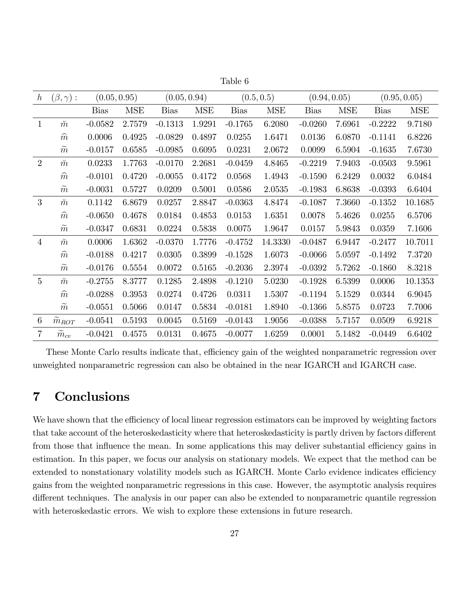| $\hbar$          | $(\beta,\gamma):$     | (0.05, 0.95) |            | (0.05, 0.94) |            |             | (0.5, 0.5) | (0.94, 0.05) |            |             | (0.95, 0.05) |
|------------------|-----------------------|--------------|------------|--------------|------------|-------------|------------|--------------|------------|-------------|--------------|
|                  |                       | <b>Bias</b>  | <b>MSE</b> | <b>Bias</b>  | <b>MSE</b> | <b>Bias</b> | <b>MSE</b> | <b>Bias</b>  | <b>MSE</b> | <b>Bias</b> | <b>MSE</b>   |
| $\mathbf{1}$     | $\breve{m}$           | $-0.0582$    | 2.7579     | $-0.1313$    | 1.9291     | $-0.1765$   | 6.2080     | $-0.0260$    | 7.6961     | $-0.2222$   | 9.7180       |
|                  | $\widehat{m}$         | 0.0006       | 0.4925     | $-0.0829$    | 0.4897     | 0.0255      | 1.6471     | 0.0136       | 6.0870     | $-0.1141$   | 6.8226       |
|                  | $\widetilde{m}$       | $-0.0157$    | 0.6585     | $-0.0985$    | 0.6095     | 0.0231      | 2.0672     | 0.0099       | 6.5904     | $-0.1635$   | 7.6730       |
| $\overline{2}$   | $\breve{m}$           | 0.0233       | 1.7763     | $-0.0170$    | 2.2681     | $-0.0459$   | 4.8465     | $-0.2219$    | 7.9403     | $-0.0503$   | 9.5961       |
|                  | $\widehat{m}$         | $-0.0101$    | 0.4720     | $-0.0055$    | 0.4172     | 0.0568      | 1.4943     | $-0.1590$    | 6.2429     | 0.0032      | 6.0484       |
|                  | $\widetilde{m}$       | $-0.0031$    | 0.5727     | 0.0209       | 0.5001     | 0.0586      | 2.0535     | $-0.1983$    | 6.8638     | $-0.0393$   | 6.6404       |
| 3                | $\breve{m}$           | 0.1142       | 6.8679     | 0.0257       | 2.8847     | $-0.0363$   | 4.8474     | $-0.1087$    | 7.3660     | $-0.1352$   | 10.1685      |
|                  | $\widehat{m}$         | $-0.0650$    | 0.4678     | 0.0184       | 0.4853     | 0.0153      | 1.6351     | 0.0078       | 5.4626     | 0.0255      | 6.5706       |
|                  | $\widetilde{m}$       | $-0.0347$    | 0.6831     | 0.0224       | 0.5838     | 0.0075      | 1.9647     | 0.0157       | 5.9843     | 0.0359      | 7.1606       |
| $\overline{4}$   | $\breve m$            | 0.0006       | 1.6362     | $-0.0370$    | 1.7776     | $-0.4752$   | 14.3330    | $-0.0487$    | 6.9447     | $-0.2477$   | 10.7011      |
|                  | $\widehat{m}$         | $-0.0188$    | 0.4217     | 0.0305       | 0.3899     | $-0.1528$   | 1.6073     | $-0.0066$    | 5.0597     | $-0.1492$   | 7.3720       |
|                  | $\widetilde{m}$       | $-0.0176$    | 0.5554     | 0.0072       | 0.5165     | $-0.2036$   | 2.3974     | $-0.0392$    | 5.7262     | $-0.1860$   | 8.3218       |
| $\overline{5}$   | $\breve{m}$           | $-0.2755$    | 8.3777     | 0.1285       | 2.4898     | $-0.1210$   | 5.0230     | $-0.1928$    | 6.5399     | 0.0006      | 10.1353      |
|                  | $\widehat{m}$         | $-0.0288$    | 0.3953     | 0.0274       | 0.4726     | 0.0311      | 1.5307     | $-0.1194$    | 5.1529     | 0.0344      | 6.9045       |
|                  | $\widetilde{m}$       | $-0.0551$    | 0.5066     | 0.0147       | 0.5834     | $-0.0181$   | 1.8940     | $-0.1366$    | 5.8575     | 0.0723      | 7.7006       |
| $\boldsymbol{6}$ | $\widetilde{m}_{ROT}$ | $-0.0541$    | 0.5193     | 0.0045       | 0.5169     | $-0.0143$   | 1.9056     | $-0.0388$    | 5.7157     | 0.0509      | 6.9218       |
| $\overline{7}$   | $m_{cv}$              | $-0.0421$    | 0.4575     | 0.0131       | 0.4675     | $-0.0077$   | 1.6259     | 0.0001       | 5.1482     | $-0.0449$   | 6.6402       |
|                  |                       |              |            |              |            |             |            |              |            |             |              |

Table 6

These Monte Carlo results indicate that, efficiency gain of the weighted nonparametric regression over unweighted nonparametric regression can also be obtained in the near IGARCH and IGARCH case.

## 7 Conclusions

We have shown that the efficiency of local linear regression estimators can be improved by weighting factors that take account of the heteroskedasticity where that heteroskedasticity is partly driven by factors different from those that influence the mean. In some applications this may deliver substantial efficiency gains in estimation. In this paper, we focus our analysis on stationary models. We expect that the method can be extended to nonstationary volatility models such as IGARCH. Monte Carlo evidence indicates efficiency gains from the weighted nonparametric regressions in this case. However, the asymptotic analysis requires different techniques. The analysis in our paper can also be extended to nonparametric quantile regression with heteroskedastic errors. We wish to explore these extensions in future research.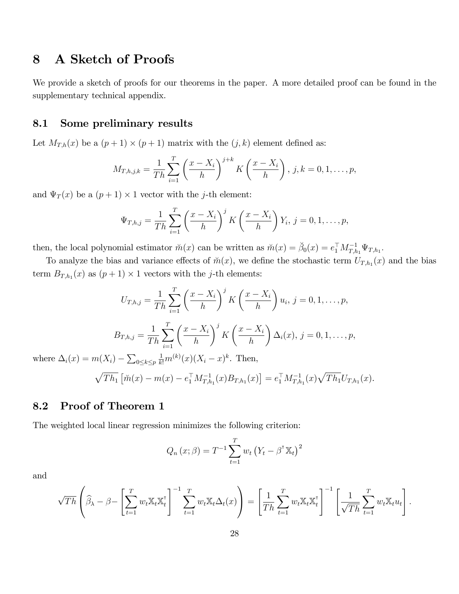## 8 A Sketch of Proofs

We provide a sketch of proofs for our theorems in the paper. A more detailed proof can be found in the supplementary technical appendix.

#### 8.1 Some preliminary results

Let  $M_{T,h}(x)$  be a  $(p+1) \times (p+1)$  matrix with the  $(j, k)$  element defined as:

$$
M_{T,h,j,k} = \frac{1}{Th} \sum_{i=1}^{T} \left( \frac{x - X_i}{h} \right)^{j+k} K \left( \frac{x - X_i}{h} \right), j, k = 0, 1, \dots, p,
$$

and  $\Psi_T(x)$  be a  $(p+1) \times 1$  vector with the *j*-th element:

$$
\Psi_{T,h,j} = \frac{1}{Th} \sum_{i=1}^{T} \left( \frac{x - X_i}{h} \right)^j K \left( \frac{x - X_i}{h} \right) Y_i, j = 0, 1, \dots, p,
$$

then, the local polynomial estimator  $\breve{m}(x)$  can be written as  $\breve{m}(x) = \breve{\beta}_0(x) = e_1^\top M_{T,h_1}^{-1} \Psi_{T,h_1}$ .

To analyze the bias and variance effects of  $\tilde{m}(x)$ , we define the stochastic term  $U_{T,h_1}(x)$  and the bias term  $B_{T,h_1}(x)$  as  $(p+1) \times 1$  vectors with the *j*-th elements:

$$
U_{T,h,j} = \frac{1}{Th} \sum_{i=1}^{T} \left(\frac{x - X_i}{h}\right)^j K\left(\frac{x - X_i}{h}\right) u_i, j = 0, 1, ..., p,
$$
  

$$
B_{T,h,j} = \frac{1}{Th} \sum_{i=1}^{T} \left(\frac{x - X_i}{h}\right)^j K\left(\frac{x - X_i}{h}\right) \Delta_i(x), j = 0, 1, ..., p,
$$
  
where  $\Delta_i(x) = m(X_i) - \sum_{0 \le k \le p} \frac{1}{k!} m^{(k)}(x) (X_i - x)^k$ . Then,

$$
\sqrt{Th_1} \left[ \breve{m}(x) - m(x) - e_1^\top M_{T,h_1}^{-1}(x) B_{T,h_1}(x) \right] = e_1^\top M_{T,h_1}^{-1}(x) \sqrt{Th_1} U_{T,h_1}(x).
$$

### 8.2 Proof of Theorem 1

The weighted local linear regression minimizes the following criterion:

$$
Q_n(x; \beta) = T^{-1} \sum_{t=1}^T w_t (Y_t - \beta^{\mathsf{T}} \mathbb{X}_t)^2
$$

and

$$
\sqrt{Th}\left(\widehat{\beta}_{\lambda}-\beta-\left[\sum_{t=1}^Tw_t\mathbb{X}_t\mathbb{X}_t^{\mathsf{T}}\right]^{-1}\sum_{t=1}^Tw_t\mathbb{X}_t\Delta_t(x)\right)=\left[\frac{1}{Th}\sum_{t=1}^Tw_t\mathbb{X}_t\mathbb{X}_t^{\mathsf{T}}\right]^{-1}\left[\frac{1}{\sqrt{Th}}\sum_{t=1}^Tw_t\mathbb{X}_t u_t\right].
$$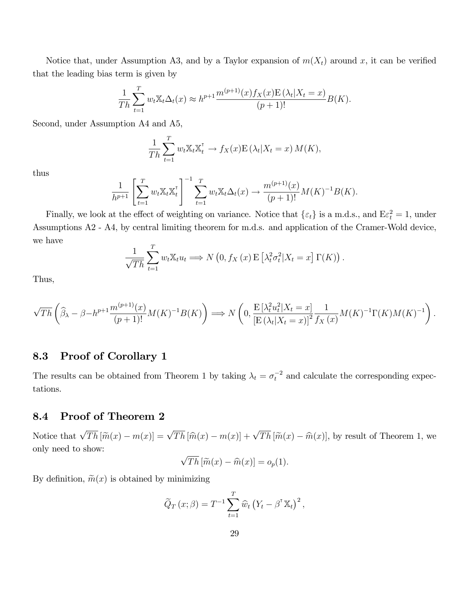Notice that, under Assumption A3, and by a Taylor expansion of  $m(X_t)$  around x, it can be verified that the leading bias term is given by

$$
\frac{1}{Th} \sum_{t=1}^{T} w_t \mathbb{X}_t \Delta_t(x) \approx h^{p+1} \frac{m^{(p+1)}(x) f_X(x) E(\lambda_t | X_t = x)}{(p+1)!} B(K).
$$

Second, under Assumption A4 and A5,

$$
\frac{1}{Th} \sum_{t=1}^{T} w_t \mathbb{X}_t \mathbb{X}_t^{\mathsf{T}} \to f_X(x) \mathbb{E} (\lambda_t | X_t = x) M(K),
$$

thus

$$
\frac{1}{h^{p+1}} \left[ \sum_{t=1}^T w_t \mathbb{X}_t \mathbb{X}_t^{\mathsf{T}} \right]^{-1} \sum_{t=1}^T w_t \mathbb{X}_t \Delta_t(x) \to \frac{m^{(p+1)}(x)}{(p+1)!} M(K)^{-1} B(K).
$$

Finally, we look at the effect of weighting on variance. Notice that  $\{\varepsilon_t\}$  is a m.d.s., and  $E\varepsilon_t^2 = 1$ , under Assumptions A2 - A4, by central limiting theorem for m.d.s. and application of the Cramer-Wold device, we have

$$
\frac{1}{\sqrt{Th}} \sum_{t=1}^{T} w_t \mathbb{X}_t u_t \Longrightarrow N\left(0, f_X\left(x\right) \mathbb{E}\left[\lambda_t^2 \sigma_t^2 | X_t = x\right] \Gamma(K)\right).
$$

Thus,

$$
\sqrt{Th}\left(\widehat{\beta}_{\lambda}-\beta-h^{p+1}\frac{m^{(p+1)}(x)}{(p+1)!}M(K)^{-1}B(K)\right) \Longrightarrow N\left(0,\frac{\mathcal{E}\left[\lambda_t^2u_t^2\middle|X_t=x\right]}{\left[\mathcal{E}\left(\lambda_t\middle|X_t=x\right)\right]^2} \frac{1}{f_X\left(x\right)}M(K)^{-1}\Gamma(K)M(K)^{-1}\right).
$$

## 8.3 Proof of Corollary 1

The results can be obtained from Theorem 1 by taking  $\lambda_t = \sigma_t^{-2}$  and calculate the corresponding expectations.

### 8.4 Proof of Theorem 2

Notice that  $\sqrt{Th} [\widetilde{m}(x) - m(x)] = \sqrt{Th} [\widehat{m}(x) - m(x)] + \sqrt{Th} [\widetilde{m}(x) - \widehat{m}(x)]$ , by result of Theorem 1, we only need to show:

$$
\sqrt{Th} \left[ \widetilde{m}(x) - \widehat{m}(x) \right] = o_p(1).
$$

By definition,  $\widetilde{m}(x)$  is obtained by minimizing

$$
\widetilde{Q}_T(x;\beta) = T^{-1} \sum_{t=1}^T \widehat{w}_t (Y_t - \beta^{\mathsf{T}} \mathbb{X}_t)^2,
$$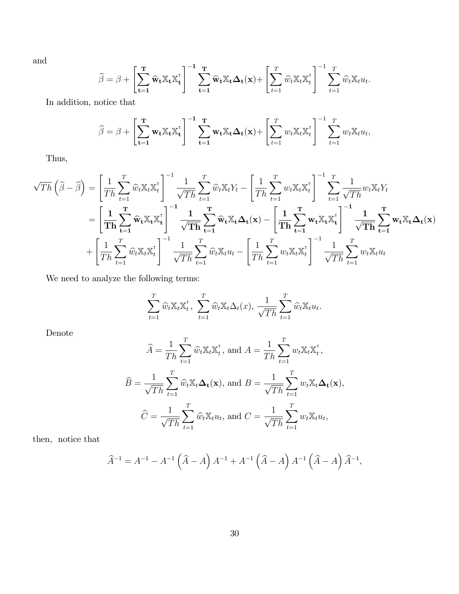and

$$
\widetilde{\beta} = \beta + \left[ \sum_{t=1}^{T} \widehat{\mathbf{w}}_t \mathbb{X}_t \mathbb{X}_t^{\mathsf{T}} \right]^{-1} \sum_{t=1}^{T} \widehat{\mathbf{w}}_t \mathbb{X}_t \Delta_t(\mathbf{x}) + \left[ \sum_{t=1}^{T} \widehat{w}_t \mathbb{X}_t \mathbb{X}_t^{\mathsf{T}} \right]^{-1} \sum_{t=1}^{T} \widehat{w}_t \mathbb{X}_t u_t.
$$

In addition, notice that

$$
\widehat{\beta} = \beta + \left[ \sum_{t=1}^{T} \mathbf{w}_t \mathbb{X}_t \mathbb{X}_t^{\mathsf{T}} \right]^{-1} \sum_{t=1}^{T} \mathbf{w}_t \mathbb{X}_t \Delta_t(\mathbf{x}) + \left[ \sum_{t=1}^{T} w_t \mathbb{X}_t \mathbb{X}_t^{\mathsf{T}} \right]^{-1} \sum_{t=1}^{T} w_t \mathbb{X}_t u_t,
$$

Thus,

$$
\sqrt{Th}\left(\tilde{\boldsymbol{\beta}}-\hat{\boldsymbol{\beta}}\right)=\left[\frac{1}{Th}\sum_{t=1}^{T}\hat{w}_{t}\mathbb{X}_{t}\mathbb{X}_{t}^{\mathsf{T}}\right]^{-1}\frac{1}{\sqrt{Th}}\sum_{t=1}^{T}\hat{w}_{t}\mathbb{X}_{t}Y_{t}-\left[\frac{1}{Th}\sum_{t=1}^{T}w_{t}\mathbb{X}_{t}\mathbb{X}_{t}^{\mathsf{T}}\right]^{-1}\sum_{t=1}^{T}\frac{1}{\sqrt{Th}}w_{t}\mathbb{X}_{t}Y_{t}
$$
\n
$$
=\left[\frac{1}{Th}\sum_{t=1}^{T}\hat{w}_{t}\mathbb{X}_{t}\mathbb{X}_{t}^{\mathsf{T}}\right]^{-1}\frac{1}{\sqrt{Th}}\sum_{t=1}^{T}\hat{w}_{t}\mathbb{X}_{t}\Delta_{t}(\mathbf{x})-\left[\frac{1}{Th}\sum_{t=1}^{T}\mathbf{w}_{t}\mathbb{X}_{t}\mathbb{X}_{t}^{\mathsf{T}}\right]^{-1}\frac{1}{\sqrt{Th}}\sum_{t=1}^{T}\mathbf{w}_{t}\mathbb{X}_{t}\mathbb{X}_{t}^{\mathsf{T}}\right]^{-1}\frac{1}{\sqrt{Th}}\sum_{t=1}^{T}\hat{w}_{t}\mathbb{X}_{t}\Delta_{t}(\mathbf{x})
$$
\n
$$
+\left[\frac{1}{Th}\sum_{t=1}^{T}\hat{w}_{t}\mathbb{X}_{t}\mathbb{X}_{t}^{\mathsf{T}}\right]^{-1}\frac{1}{\sqrt{Th}}\sum_{t=1}^{T}\hat{w}_{t}\mathbb{X}_{t}u_{t}-\left[\frac{1}{Th}\sum_{t=1}^{T}w_{t}\mathbb{X}_{t}\mathbb{X}_{t}^{\mathsf{T}}\right]^{-1}\frac{1}{\sqrt{Th}}\sum_{t=1}^{T}w_{t}\mathbb{X}_{t}u_{t}
$$

We need to analyze the following terms:

$$
\sum_{t=1}^T \widehat{w}_t \mathbb{X}_t \mathbb{X}_t^{\mathsf{T}}, \sum_{t=1}^T \widehat{w}_t \mathbb{X}_t \Delta_t(x), \frac{1}{\sqrt{Th}} \sum_{t=1}^T \widehat{w}_t \mathbb{X}_t u_t.
$$

Denote

$$
\widehat{A} = \frac{1}{Th} \sum_{t=1}^{T} \widehat{w}_t \mathbb{X}_t \mathbb{X}_t^{\mathsf{T}}, \text{ and } A = \frac{1}{Th} \sum_{t=1}^{T} w_t \mathbb{X}_t \mathbb{X}_t^{\mathsf{T}},
$$

$$
\widehat{B} = \frac{1}{\sqrt{Th}} \sum_{t=1}^{T} \widehat{w}_t \mathbb{X}_t \Delta_t(\mathbf{x}), \text{ and } B = \frac{1}{\sqrt{Th}} \sum_{t=1}^{T} w_t \mathbb{X}_t \Delta_t(\mathbf{x}),
$$

$$
\widehat{C} = \frac{1}{\sqrt{Th}} \sum_{t=1}^{T} \widehat{w}_t \mathbb{X}_t u_t, \text{ and } C = \frac{1}{\sqrt{Th}} \sum_{t=1}^{T} w_t \mathbb{X}_t u_t,
$$

then, notice that

$$
\widehat{A}^{-1} = A^{-1} - A^{-1} (\widehat{A} - A) A^{-1} + A^{-1} (\widehat{A} - A) A^{-1} (\widehat{A} - A) \widehat{A}^{-1},
$$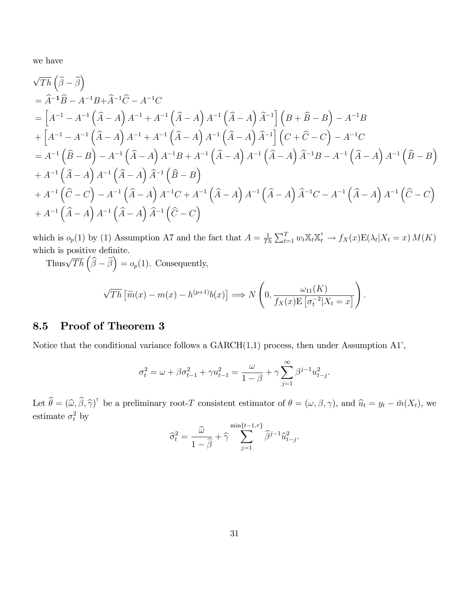we have

$$
\sqrt{Th} \left( \tilde{\beta} - \hat{\beta} \right)
$$
  
=  $\hat{A}^{-1} \hat{B} - A^{-1} B + \hat{A}^{-1} \hat{C} - A^{-1} C$   
=  $\left[ A^{-1} - A^{-1} \left( \hat{A} - A \right) A^{-1} + A^{-1} \left( \hat{A} - A \right) A^{-1} \left( \hat{A} - A \right) \hat{A}^{-1} \right] \left( B + \hat{B} - B \right) - A^{-1} B$   
+  $\left[ A^{-1} - A^{-1} \left( \hat{A} - A \right) A^{-1} + A^{-1} \left( \hat{A} - A \right) A^{-1} \left( \hat{A} - A \right) \hat{A}^{-1} \right] \left( C + \hat{C} - C \right) - A^{-1} C$   
=  $A^{-1} \left( \hat{B} - B \right) - A^{-1} \left( \hat{A} - A \right) A^{-1} B + A^{-1} \left( \hat{A} - A \right) A^{-1} \left( \hat{A} - A \right) \hat{A}^{-1} B - A^{-1} \left( \hat{A} - A \right) A^{-1} \left( \hat{B} - B \right)$   
+  $A^{-1} \left( \hat{A} - A \right) A^{-1} \left( \hat{A} - A \right) \hat{A}^{-1} \left( \hat{B} - B \right)$   
+  $A^{-1} \left( \hat{C} - C \right) - A^{-1} \left( \hat{A} - A \right) A^{-1} C + A^{-1} \left( \hat{A} - A \right) A^{-1} \left( \hat{A} - A \right) \hat{A}^{-1} C - A^{-1} \left( \hat{A} - A \right) A^{-1} \left( \hat{C} - C \right)$   
+  $A^{-1} \left( \hat{A} - A \right) A^{-1} \left( \hat{A} - A \right) \hat{A}^{-1} \left( \hat{C} - C \right)$ 

which is  $o_p(1)$  by (1) Assumption A7 and the fact that  $A = \frac{1}{T}$  $\frac{1}{Th} \sum_{t=1}^T w_t \mathbb{X}_t \mathbb{X}_t^{\mathsf{T}} \to f_X(x) \mathbb{E}(\lambda_t | X_t = x) M(K)$ which is positive definite.

Thus $\sqrt{Th}\left(\widehat{\beta}-\widetilde{\beta}\right)=o_p(1)$ . Consequently,

$$
\sqrt{Th}\left[\widetilde{m}(x)-m(x)-h^{(p+1)}b(x)\right] \Longrightarrow N\left(0,\frac{\omega_{11}(K)}{f_X(x)\mathbb{E}\left[\sigma_t^{-2}|X_t=x\right]}\right).
$$

#### 8.5 Proof of Theorem 3

Notice that the conditional variance follows a  $GARCH(1,1)$  process, then under Assumption A1',

$$
\sigma_t^2 = \omega + \beta \sigma_{t-1}^2 + \gamma u_{t-1}^2 = \frac{\omega}{1 - \beta} + \gamma \sum_{j=1}^{\infty} \beta^{j-1} u_{t-j}^2.
$$

Let  $\widehat{\theta} = (\widehat{\omega}, \widehat{\beta}, \widehat{\gamma})^{\dagger}$  be a preliminary root-T consistent estimator of  $\theta = (\omega, \beta, \gamma)$ , and  $\widehat{u}_t = y_t - \breve{m}(X_t)$ , we estimate  $\sigma_t^2$  by

$$
\widehat{\sigma}_t^2 = \frac{\widehat{\omega}}{1 - \widehat{\beta}} + \widehat{\gamma} \sum_{j=1}^{\min\{t-1, \tau\}} \widehat{\beta}^{j-1} \widehat{u}_{t-j}^2.
$$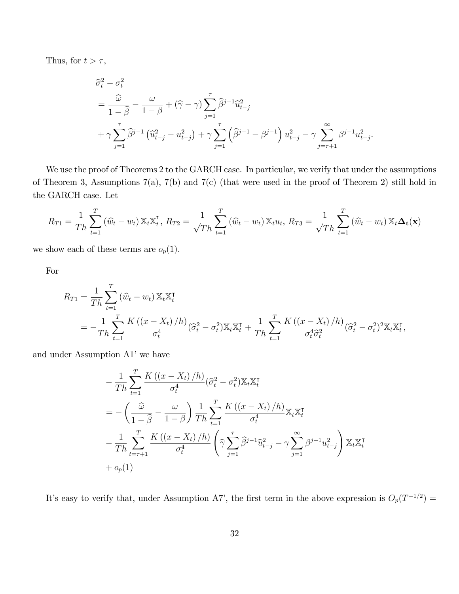Thus, for  $t > \tau$ ,

$$
\begin{split} &\widehat{\sigma}^2_t - \sigma^2_t \\ &= \frac{\widehat{\omega}}{1-\widehat{\beta}} - \frac{\omega}{1-\beta} + (\widehat{\gamma} - \gamma) \sum_{j=1}^\tau \widehat{\beta}^{j-1} \widehat{u}^2_{t-j} \\ &+ \gamma \sum_{j=1}^\tau \widehat{\beta}^{j-1} \left( \widehat{u}^2_{t-j} - u^2_{t-j} \right) + \gamma \sum_{j=1}^\tau \left( \widehat{\beta}^{j-1} - \beta^{j-1} \right) u^2_{t-j} - \gamma \sum_{j=\tau+1}^\infty \beta^{j-1} u^2_{t-j}. \end{split}
$$

We use the proof of Theorems 2 to the GARCH case. In particular, we verify that under the assumptions of Theorem 3, Assumptions 7(a), 7(b) and 7(c) (that were used in the proof of Theorem 2) still hold in the GARCH case. Let

$$
R_{T1} = \frac{1}{Th} \sum_{t=1}^{T} (\hat{w}_t - w_t) \mathbb{X}_t \mathbb{X}_t^{\mathsf{T}}, \ R_{T2} = \frac{1}{\sqrt{Th}} \sum_{t=1}^{T} (\hat{w}_t - w_t) \mathbb{X}_t u_t, \ R_{T3} = \frac{1}{\sqrt{Th}} \sum_{t=1}^{T} (\hat{w}_t - w_t) \mathbb{X}_t \Delta_t(\mathbf{x})
$$

we show each of these terms are  $o_p(1)$ .

For

$$
R_{T1} = \frac{1}{Th} \sum_{t=1}^{T} (\widehat{w}_t - w_t) \mathbb{X}_t \mathbb{X}_t^{\mathsf{T}}
$$
  
= 
$$
-\frac{1}{Th} \sum_{t=1}^{T} \frac{K\left(\left(x - X_t\right)/h\right)}{\sigma_t^4} (\widehat{\sigma}_t^2 - \sigma_t^2) \mathbb{X}_t \mathbb{X}_t^{\mathsf{T}} + \frac{1}{Th} \sum_{t=1}^{T} \frac{K\left(\left(x - X_t\right)/h\right)}{\sigma_t^4 \widehat{\sigma}_t^2} (\widehat{\sigma}_t^2 - \sigma_t^2)^2 \mathbb{X}_t \mathbb{X}_t^{\mathsf{T}},
$$

and under Assumption A1' we have

$$
-\frac{1}{Th} \sum_{t=1}^{T} \frac{K\left(\left(x - X_t\right)/h\right)}{\sigma_t^4} (\hat{\sigma}_t^2 - \sigma_t^2) \mathbb{X}_t \mathbb{X}_t^{\mathsf{T}}
$$
  

$$
= -\left(\frac{\hat{\omega}}{1 - \hat{\beta}} - \frac{\omega}{1 - \beta}\right) \frac{1}{Th} \sum_{t=1}^{T} \frac{K\left(\left(x - X_t\right)/h\right)}{\sigma_t^4} \mathbb{X}_t \mathbb{X}_t^{\mathsf{T}}
$$

$$
-\frac{1}{Th} \sum_{t=\tau+1}^{T} \frac{K\left(\left(x - X_t\right)/h\right)}{\sigma_t^4} \left(\hat{\gamma} \sum_{j=1}^{T} \hat{\beta}^{j-1} \hat{u}_{t-j}^2 - \gamma \sum_{j=1}^{\infty} \beta^{j-1} u_{t-j}^2\right) \mathbb{X}_t \mathbb{X}_t^{\mathsf{T}}
$$

$$
+ o_p(1)
$$

It's easy to verify that, under Assumption A7', the first term in the above expression is  $O_p(T^{-1/2}) =$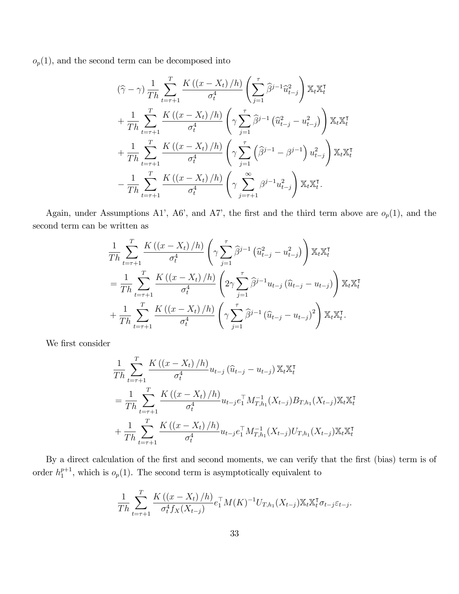$o_p(1)$ , and the second term can be decomposed into

$$
(\hat{\gamma} - \gamma) \frac{1}{Th} \sum_{t=\tau+1}^{T} \frac{K((x - X_t)/h)}{\sigma_t^4} \left( \sum_{j=1}^{\tau} \hat{\beta}^{j-1} \hat{u}_{t-j}^2 \right) \mathbb{X}_t \mathbb{X}_t^{\tau} + \frac{1}{Th} \sum_{t=\tau+1}^{T} \frac{K((x - X_t)/h)}{\sigma_t^4} \left( \gamma \sum_{j=1}^{\tau} \hat{\beta}^{j-1} (\hat{u}_{t-j}^2 - u_{t-j}^2) \right) \mathbb{X}_t \mathbb{X}_t^{\tau} + \frac{1}{Th} \sum_{t=\tau+1}^{T} \frac{K((x - X_t)/h)}{\sigma_t^4} \left( \gamma \sum_{j=1}^{\tau} (\hat{\beta}^{j-1} - \beta^{j-1}) u_{t-j}^2 \right) \mathbb{X}_t \mathbb{X}_t^{\tau} - \frac{1}{Th} \sum_{t=\tau+1}^{T} \frac{K((x - X_t)/h)}{\sigma_t^4} \left( \gamma \sum_{j=\tau+1}^{\infty} \beta^{j-1} u_{t-j}^2 \right) \mathbb{X}_t \mathbb{X}_t^{\tau}.
$$

Again, under Assumptions A1', A6', and A7', the first and the third term above are  $o_p(1)$ , and the second term can be written as

$$
\frac{1}{Th} \sum_{t=\tau+1}^{T} \frac{K((x - X_t)/h)}{\sigma_t^4} \left(\gamma \sum_{j=1}^{\tau} \hat{\beta}^{j-1} (\hat{u}_{t-j}^2 - u_{t-j}^2) \right) \mathbb{X}_t \mathbb{X}_t^{\tau} \n= \frac{1}{Th} \sum_{t=\tau+1}^{T} \frac{K((x - X_t)/h)}{\sigma_t^4} \left(2\gamma \sum_{j=1}^{\tau} \hat{\beta}^{j-1} u_{t-j} (\hat{u}_{t-j} - u_{t-j}) \right) \mathbb{X}_t \mathbb{X}_t^{\tau} \n+ \frac{1}{Th} \sum_{t=\tau+1}^{T} \frac{K((x - X_t)/h)}{\sigma_t^4} \left(\gamma \sum_{j=1}^{\tau} \hat{\beta}^{j-1} (\hat{u}_{t-j} - u_{t-j})^2 \right) \mathbb{X}_t \mathbb{X}_t^{\tau}.
$$

We first consider

$$
\frac{1}{Th} \sum_{t=\tau+1}^{T} \frac{K((x - X_t)/h)}{\sigma_t^4} u_{t-j} (\hat{u}_{t-j} - u_{t-j}) \mathbb{X}_t \mathbb{X}_t^{\tau}
$$
\n
$$
= \frac{1}{Th} \sum_{t=\tau+1}^{T} \frac{K((x - X_t)/h)}{\sigma_t^4} u_{t-j} e_1^{\top} M_{T,h_1}^{-1} (X_{t-j}) B_{T,h_1} (X_{t-j}) \mathbb{X}_t \mathbb{X}_t^{\tau}
$$
\n
$$
+ \frac{1}{Th} \sum_{t=\tau+1}^{T} \frac{K((x - X_t)/h)}{\sigma_t^4} u_{t-j} e_1^{\top} M_{T,h_1}^{-1} (X_{t-j}) U_{T,h_1} (X_{t-j}) \mathbb{X}_t \mathbb{X}_t^{\tau}
$$

By a direct calculation of the first and second moments, we can verify that the first (bias) term is of order  $h_1^{p+1}$  $_1^{p+1}$ , which is  $o_p(1)$ . The second term is asymptotically equivalent to

$$
\frac{1}{Th} \sum_{t=\tau+1}^{T} \frac{K((x - X_t)/h)}{\sigma_t^4 f_X(X_{t-j})} e_1^{T} M(K)^{-1} U_{T,h_1}(X_{t-j}) \mathbb{X}_t \mathbb{X}_t^{T} \sigma_{t-j} \varepsilon_{t-j}.
$$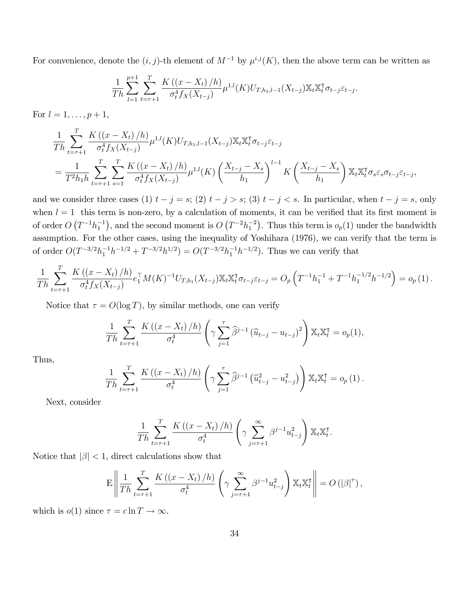For convenience, denote the  $(i, j)$ -th element of  $M^{-1}$  by  $\mu^{i,j}(K)$ , then the above term can be written as

$$
\frac{1}{Th} \sum_{l=1}^{p+1} \sum_{t=\tau+1}^{T} \frac{K\left(\left(x - X_t\right)/h\right)}{\sigma_t^4 f_X(X_{t-j})} \mu^{1,l}(K) U_{T,h_1,l-1}(X_{t-j}) \mathbb{X}_t \mathbb{X}_t^{\tau} \sigma_{t-j} \varepsilon_{t-j}.
$$

For  $l = 1, ..., p + 1$ ,

$$
\frac{1}{Th} \sum_{t=\tau+1}^{T} \frac{K((x - X_t)/h)}{\sigma_t^4 f_X(X_{t-j})} \mu^{1,l}(K) U_{T,h_1,l-1}(X_{t-j}) \mathbb{X}_t \mathbb{X}_t^{\tau} \sigma_{t-j} \varepsilon_{t-j}
$$
\n
$$
= \frac{1}{T^2 h_1 h} \sum_{t=\tau+1}^{T} \sum_{s=1}^{T} \frac{K((x - X_t)/h)}{\sigma_t^4 f_X(X_{t-j})} \mu^{1,l}(K) \left(\frac{X_{t-j} - X_s}{h_1}\right)^{l-1} K\left(\frac{X_{t-j} - X_s}{h_1}\right) \mathbb{X}_t \mathbb{X}_t^{\tau} \sigma_s \varepsilon_s \sigma_{t-j} \varepsilon_{t-j},
$$

and we consider three cases (1)  $t - j = s$ ; (2)  $t - j > s$ ; (3)  $t - j < s$ . In particular, when  $t - j = s$ , only when  $l = 1$  this term is non-zero, by a calculation of moments, it can be verified that its first moment is of order  $O(T^{-1}h_1^{-1})$ , and the second moment is  $O(T^{-2}h_1^{-2})$ . Thus this term is  $o_p(1)$  under the bandwidth assumption. For the other cases, using the inequality of Yoshihara (1976), we can verify that the term is of order  $O(T^{-3/2}h_1^{-1}h^{-1/2} + T^{-3/2}h^{1/2}) = O(T^{-3/2}h_1^{-1}h^{-1/2})$ . Thus we can verify that

$$
\frac{1}{Th} \sum_{t=\tau+1}^T \frac{K((x-X_t)/h)}{\sigma_t^4 f_X(X_{t-j})} e_1^{\top} M(K)^{-1} U_{T,h_1}(X_{t-j}) \mathbb{X}_t \mathbb{X}_t^{\top} \sigma_{t-j} \varepsilon_{t-j} = O_p\left(T^{-1} h_1^{-1} + T^{-1} h_1^{-1/2} h^{-1/2}\right) = o_p(1).
$$

Notice that  $\tau = O(\log T)$ , by similar methods, one can verify

$$
\frac{1}{Th} \sum_{t=\tau+1}^{T} \frac{K((x - X_t)/h)}{\sigma_t^4} \left(\gamma \sum_{j=1}^{\tau} \hat{\beta}^{j-1} (\hat{u}_{t-j} - u_{t-j})^2\right) \mathbb{X}_t \mathbb{X}_t^{\tau} = o_p(1),
$$

Thus,

$$
\frac{1}{Th} \sum_{t=\tau+1}^{T} \frac{K((x - X_t)/h)}{\sigma_t^4} \left( \gamma \sum_{j=1}^{\tau} \widehat{\beta}^{j-1} \left( \widehat{u}_{t-j}^2 - u_{t-j}^2 \right) \right) \mathbb{X}_t \mathbb{X}_t^{\tau} = o_p(1).
$$

Next, consider

$$
\frac{1}{Th} \sum_{t=\tau+1}^{T} \frac{K\left(\left(x - X_t\right)/h\right)}{\sigma_t^4} \left(\gamma \sum_{j=\tau+1}^{\infty} \beta^{j-1} u_{t-j}^2\right) \mathbb{X}_t \mathbb{X}_t^{\tau}.
$$

Notice that  $|\beta|$  < 1, direct calculations show that

$$
\mathbf{E}\left\|\frac{1}{Th}\sum_{t=\tau+1}^T \frac{K\left(\left(x-X_t\right)/h\right)}{\sigma_t^4} \left(\gamma \sum_{j=\tau+1}^\infty \beta^{j-1} u_{t-j}^2\right) \mathbb{X}_t \mathbb{X}_t^\intercal\right\| = O\left(|\beta|^{\tau}\right),\right.
$$

which is  $o(1)$  since  $\tau = c \ln T \to \infty$ .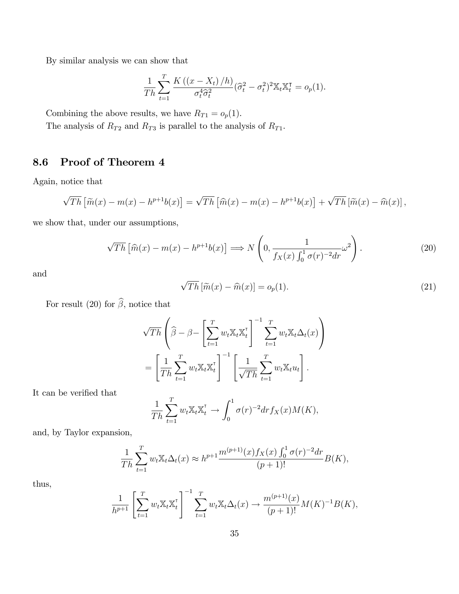By similar analysis we can show that

$$
\frac{1}{Th} \sum_{t=1}^{T} \frac{K\left(\left(x - X_t\right)/h\right)}{\sigma_t^4 \widehat{\sigma}_t^2} (\widehat{\sigma}_t^2 - \sigma_t^2)^2 \mathbb{X}_t \mathbb{X}_t^{\mathsf{T}} = o_p(1).
$$

Combining the above results, we have  $R_{T1} = o_p(1)$ .

The analysis of  $R_{T2}$  and  $R_{T3}$  is parallel to the analysis of  $R_{T1}$ .

## 8.6 Proof of Theorem 4

Again, notice that

$$
\sqrt{Th}\left[\widetilde{m}(x)-m(x)-h^{p+1}b(x)\right]=\sqrt{Th}\left[\widehat{m}(x)-m(x)-h^{p+1}b(x)\right]+\sqrt{Th}\left[\widetilde{m}(x)-\widehat{m}(x)\right],
$$

we show that, under our assumptions,

$$
\sqrt{Th}\left[\widehat{m}(x) - m(x) - h^{p+1}b(x)\right] \Longrightarrow N\left(0, \frac{1}{f_X(x)\int_0^1 \sigma(r)^{-2}dr}\omega^2\right). \tag{20}
$$

and

$$
\sqrt{Th} \left[ \widetilde{m}(x) - \widehat{m}(x) \right] = o_p(1). \tag{21}
$$

For result (20) for  $\widehat{\beta},$  notice that

$$
\sqrt{Th}\left(\widehat{\beta} - \beta - \left[\sum_{t=1}^T w_t \mathbb{X}_t \mathbb{X}_t^{\mathsf{T}}\right]^{-1} \sum_{t=1}^T w_t \mathbb{X}_t \Delta_t(x)\right)
$$

$$
= \left[\frac{1}{Th} \sum_{t=1}^T w_t \mathbb{X}_t \mathbb{X}_t^{\mathsf{T}}\right]^{-1} \left[\frac{1}{\sqrt{Th}} \sum_{t=1}^T w_t \mathbb{X}_t u_t\right].
$$

It can be verified that

$$
\frac{1}{Th} \sum_{t=1}^T w_t \mathbb{X}_t \mathbb{X}_t^{\mathsf{T}} \to \int_0^1 \sigma(r)^{-2} dr f_X(x) M(K),
$$

and, by Taylor expansion,

$$
\frac{1}{Th} \sum_{t=1}^{T} w_t \mathbb{X}_t \Delta_t(x) \approx h^{p+1} \frac{m^{(p+1)}(x) f_X(x) \int_0^1 \sigma(r)^{-2} dr}{(p+1)!} B(K),
$$

thus,

$$
\frac{1}{h^{p+1}} \left[ \sum_{t=1}^T w_t \mathbb{X}_t \mathbb{X}_t^\mathsf{T} \right]^{-1} \sum_{t=1}^T w_t \mathbb{X}_t \Delta_t(x) \to \frac{m^{(p+1)}(x)}{(p+1)!} M(K)^{-1} B(K),
$$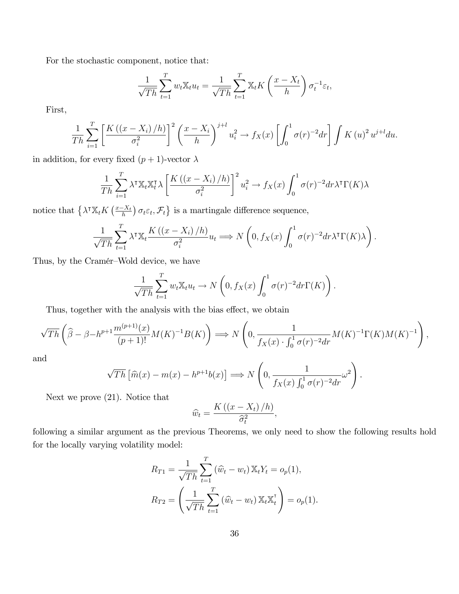For the stochastic component, notice that:

$$
\frac{1}{\sqrt{Th}}\sum_{t=1}^T w_t \mathbb{X}_t u_t = \frac{1}{\sqrt{Th}}\sum_{t=1}^T \mathbb{X}_t K\left(\frac{x - X_t}{h}\right) \sigma_t^{-1} \varepsilon_t,
$$

First,

$$
\frac{1}{Th} \sum_{i=1}^T \left[ \frac{K\left(\left(x - X_i\right)/h\right)}{\sigma_i^2} \right]^2 \left(\frac{x - X_i}{h}\right)^{j+l} u_i^2 \to f_X(x) \left[ \int_0^1 \sigma(r)^{-2} dr \right] \int K\left(u\right)^2 u^{j+l} du.
$$

in addition, for every fixed  $(p+1)\text{-vector } \lambda$ 

$$
\frac{1}{Th} \sum_{i=1}^{T} \lambda^{\dagger} \mathbb{X}_{t} \mathbb{X}_{t}^{\dagger} \lambda \left[ \frac{K\left(\left(x - X_{i}\right)/h\right)}{\sigma_{i}^{2}} \right]^{2} u_{i}^{2} \to f_{X}(x) \int_{0}^{1} \sigma(r)^{-2} dr \lambda^{\dagger} \Gamma(K) \lambda
$$

notice that  $\left\{ \lambda^{\dagger} \mathbb{X}_t K\left( \frac{x - X_t}{h} \right) \sigma_t \varepsilon_t, \mathcal{F}_t \right\}$  is a martingale difference sequence,

$$
\frac{1}{\sqrt{Th}}\sum_{t=1}^T \lambda^{\mathsf{T}} \mathbb{X}_t \frac{K\left(\left(x - X_i\right)/h\right)}{\sigma_i^2} u_t \Longrightarrow N\left(0, f_X(x) \int_0^1 \sigma(r)^{-2} dr \lambda^{\mathsf{T}} \Gamma(K)\lambda\right).
$$

Thus, by the Cramér–Wold device, we have

$$
\frac{1}{\sqrt{Th}}\sum_{t=1}^T w_t \mathbb{X}_t u_t \to N\left(0, f_X(x) \int_0^1 \sigma(r)^{-2} dr \Gamma(K)\right).
$$

Thus, together with the analysis with the bias effect, we obtain

$$
\sqrt{Th}\left(\widehat{\beta} - \beta - h^{p+1}\frac{m^{(p+1)}(x)}{(p+1)!}M(K)^{-1}B(K)\right) \Longrightarrow N\left(0, \frac{1}{f_X(x)\cdot \int_0^1 \sigma(r)^{-2}dr}M(K)^{-1}\Gamma(K)M(K)^{-1}\right),
$$

and

$$
\sqrt{Th}\left[\widehat{m}(x) - m(x) - h^{p+1}b(x)\right] \Longrightarrow N\left(0, \frac{1}{f_X(x)\int_0^1 \sigma(r)^{-2}dr}\omega^2\right)
$$

.

Next we prove (21). Notice that

$$
\widehat{w}_t = \frac{K\left(\left(x - X_t\right)/h\right)}{\widehat{\sigma}_t^2},
$$

following a similar argument as the previous Theorems, we only need to show the following results hold for the locally varying volatility model:

$$
R_{T1} = \frac{1}{\sqrt{Th}} \sum_{t=1}^{T} (\widehat{w}_t - w_t) \mathbb{X}_t Y_t = o_p(1),
$$
  

$$
R_{T2} = \left(\frac{1}{\sqrt{Th}} \sum_{t=1}^{T} (\widehat{w}_t - w_t) \mathbb{X}_t \mathbb{X}_t^{\mathsf{T}}\right) = o_p(1).
$$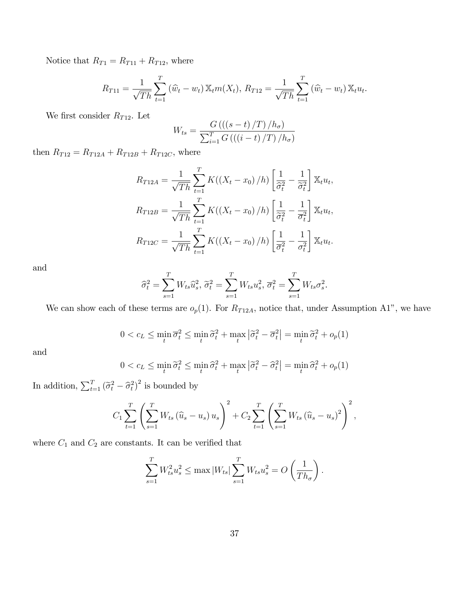Notice that  $R_{T1} = R_{T11} + R_{T12}$ , where

$$
R_{T11} = \frac{1}{\sqrt{Th}} \sum_{t=1}^{T} (\hat{w}_t - w_t) \mathbb{X}_t m(X_t), R_{T12} = \frac{1}{\sqrt{Th}} \sum_{t=1}^{T} (\hat{w}_t - w_t) \mathbb{X}_t u_t.
$$

We first consider  $R_{T12}$ . Let

$$
W_{ts} = \frac{G\left(\left(\left(s-t\right)/T\right)/h_{\sigma}\right)}{\sum_{i=1}^{T} G\left(\left(\left(i-t\right)/T\right)/h_{\sigma}\right)}
$$

then  $R_{T12} = R_{T12A} + R_{T12B} + R_{T12C}$ , where

$$
R_{T12A} = \frac{1}{\sqrt{Th}} \sum_{t=1}^{T} K((X_t - x_0)/h) \left[ \frac{1}{\hat{\sigma}_t^2} - \frac{1}{\hat{\sigma}_t^2} \right] \mathbb{X}_t u_t,
$$
  
\n
$$
R_{T12B} = \frac{1}{\sqrt{Th}} \sum_{t=1}^{T} K((X_t - x_0)/h) \left[ \frac{1}{\hat{\sigma}_t^2} - \frac{1}{\hat{\sigma}_t^2} \right] \mathbb{X}_t u_t,
$$
  
\n
$$
R_{T12C} = \frac{1}{\sqrt{Th}} \sum_{t=1}^{T} K((X_t - x_0)/h) \left[ \frac{1}{\hat{\sigma}_t^2} - \frac{1}{\hat{\sigma}_t^2} \right] \mathbb{X}_t u_t.
$$

and

$$
\widehat{\sigma}_t^2 = \sum_{s=1}^T W_{ts} \widehat{u}_s^2, \, \widetilde{\sigma}_t^2 = \sum_{s=1}^T W_{ts} u_s^2, \, \overline{\sigma}_t^2 = \sum_{s=1}^T W_{ts} \sigma_s^2.
$$

We can show each of these terms are  $o_p(1)$ . For  $R_{T12A}$ , notice that, under Assumption A1", we have

$$
0 < c_L \le \min_t \overline{\sigma}_t^2 \le \min_t \widetilde{\sigma}_t^2 + \max_t |\widetilde{\sigma}_t^2 - \overline{\sigma}_t^2| = \min_t \widetilde{\sigma}_t^2 + o_p(1)
$$

and

$$
0 < c_L \le \min_t \tilde{\sigma}_t^2 \le \min_t \hat{\sigma}_t^2 + \max_t |\tilde{\sigma}_t^2 - \hat{\sigma}_t^2| = \min_t \hat{\sigma}_t^2 + o_p(1)
$$

In addition,  $\sum_{t=1}^{T} (\tilde{\sigma}_t^2 - \tilde{\sigma}_t^2)^2$  is bounded by

$$
C_1 \sum_{t=1}^T \left( \sum_{s=1}^T W_{ts} (\widehat{u}_s - u_s) u_s \right)^2 + C_2 \sum_{t=1}^T \left( \sum_{s=1}^T W_{ts} (\widehat{u}_s - u_s)^2 \right)^2,
$$

where  ${\cal C}_1$  and  ${\cal C}_2$  are constants. It can be verified that

$$
\sum_{s=1}^{T} W_{ts}^2 u_s^2 \le \max |W_{ts}| \sum_{s=1}^{T} W_{ts} u_s^2 = O\left(\frac{1}{Th_{\sigma}}\right).
$$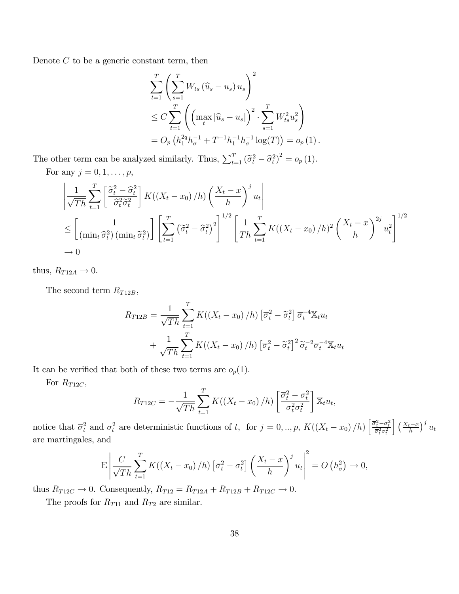Denote  $C$  to be a generic constant term, then

$$
\sum_{t=1}^{T} \left( \sum_{s=1}^{T} W_{ts} (\hat{u}_s - u_s) u_s \right)^2
$$
\n
$$
\leq C \sum_{t=1}^{T} \left( \left( \max_t |\hat{u}_s - u_s| \right)^2 \cdot \sum_{s=1}^{T} W_{ts}^2 u_s^2 \right)
$$
\n
$$
= O_p \left( h_1^{2q} h_\sigma^{-1} + T^{-1} h_1^{-1} h_\sigma^{-1} \log(T) \right) = o_p \left( 1 \right).
$$

The other term can be analyzed similarly. Thus,  $\sum_{t=1}^{T} (\tilde{\sigma}_t^2 - \hat{\sigma}_t^2)^2 = o_p(1)$ . For any  $j = 0, 1, \ldots, p$ ,

$$
\left| \frac{1}{\sqrt{Th}} \sum_{t=1}^{T} \left[ \frac{\tilde{\sigma}_t^2 - \hat{\sigma}_t^2}{\hat{\sigma}_t^2 \tilde{\sigma}_t^2} \right] K((X_t - x_0) / h) \left( \frac{X_t - x}{h} \right)^j u_t \right|
$$
  
\n
$$
\leq \left[ \frac{1}{(\min_t \hat{\sigma}_t^2) (\min_t \tilde{\sigma}_t^2)} \right] \left[ \sum_{t=1}^{T} \left( \tilde{\sigma}_t^2 - \hat{\sigma}_t^2 \right)^2 \right]^{1/2} \left[ \frac{1}{Th} \sum_{t=1}^{T} K((X_t - x_0) / h)^2 \left( \frac{X_t - x}{h} \right)^{2j} u_t^2 \right]^{1/2}
$$
  
\n
$$
\to 0
$$

thus,  $R_{T12A} \rightarrow 0$ .

The second term  $R_{T12B}$ ,

$$
R_{T12B} = \frac{1}{\sqrt{Th}} \sum_{t=1}^{T} K((X_t - x_0)/h) \left[\overline{\sigma}_t^2 - \widetilde{\sigma}_t^2\right] \overline{\sigma}_t^{-4} \mathbb{X}_t u_t
$$

$$
+ \frac{1}{\sqrt{Th}} \sum_{t=1}^{T} K((X_t - x_0)/h) \left[\overline{\sigma}_t^2 - \widetilde{\sigma}_t^2\right]^2 \widetilde{\sigma}_t^{-2} \overline{\sigma}_t^{-4} \mathbb{X}_t u_t
$$

It can be verified that both of these two terms are  $o_p(1)$ .

For  $R_{T12C}$ ,

$$
R_{T12C} = -\frac{1}{\sqrt{Th}} \sum_{t=1}^{T} K((X_t - x_0)/h) \left[ \frac{\overline{\sigma}_t^2 - \sigma_t^2}{\overline{\sigma}_t^2 \sigma_t^2} \right] \mathbb{X}_t u_t,
$$

notice that  $\overline{\sigma}_t^2$  and  $\sigma_t^2$  are deterministic functions of t, for  $j = 0, ..., p$ ,  $K((X_t - x_0)/h) \left[ \frac{\overline{\sigma}_t^2 - \sigma_t^2}{\overline{\sigma}_t^2 \sigma_t^2} \right]$  $\int \left(\frac{X_t-x}{h}\right)^j u_t$ are martingales, and

$$
\mathbf{E}\left|\frac{C}{\sqrt{Th}}\sum_{t=1}^{T}K((X_t-x_0)/h)\left[\overline{\sigma}_t^2-\sigma_t^2\right]\left(\frac{X_t-x}{h}\right)^j u_t\right|^2=O\left(h_\sigma^2\right)\to 0,
$$

thus  $R_{T12C} \to 0$ . Consequently,  $R_{T12} = R_{T12A} + R_{T12B} + R_{T12C} \to 0$ .

The proofs for  $R_{T11}$  and  $R_{T2}$  are similar.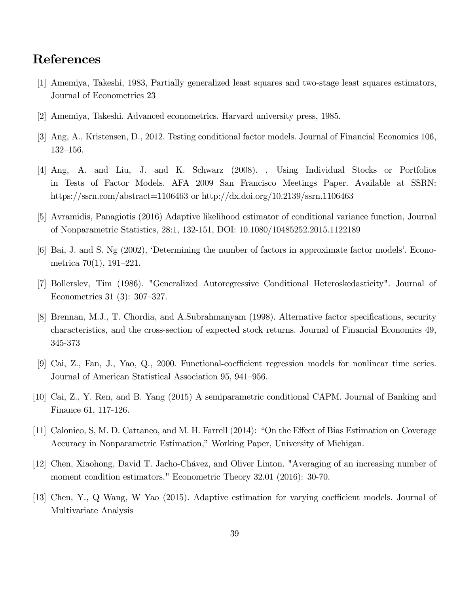## References

- [1] Amemiya, Takeshi, 1983, Partially generalized least squares and two-stage least squares estimators, Journal of Econometrics 23
- [2] Amemiya, Takeshi. Advanced econometrics. Harvard university press, 1985.
- [3] Ang, A., Kristensen, D., 2012. Testing conditional factor models. Journal of Financial Economics 106, 132-156.
- [4] Ang, A. and Liu, J. and K. Schwarz (2008). , Using Individual Stocks or Portfolios in Tests of Factor Models. AFA 2009 San Francisco Meetings Paper. Available at SSRN: https://ssrn.com/abstract=1106463 or http://dx.doi.org/10.2139/ssrn.1106463
- [5] Avramidis, Panagiotis (2016) Adaptive likelihood estimator of conditional variance function, Journal of Nonparametric Statistics, 28:1, 132-151, DOI: 10.1080/10485252.2015.1122189
- $[6]$  Bai, J. and S. Ng  $(2002)$ , Determining the number of factors in approximate factor models'. Econometrica  $70(1)$ , 191–221.
- [7] Bollerslev, Tim (1986). "Generalized Autoregressive Conditional Heteroskedasticity". Journal of Econometrics 31 (3):  $307-327$ .
- [8] Brennan, M.J., T. Chordia, and A.Subrahmanyam (1998). Alternative factor specifications, security characteristics, and the cross-section of expected stock returns. Journal of Financial Economics 49, 345-373
- [9] Cai, Z., Fan, J., Yao, Q., 2000. Functional-coefficient regression models for nonlinear time series. Journal of American Statistical Association 95, 941–956.
- [10] Cai, Z., Y. Ren, and B. Yang (2015) A semiparametric conditional CAPM. Journal of Banking and Finance 61, 117-126.
- [11] Calonico, S, M. D. Cattaneo, and M. H. Farrell (2014): "On the Effect of Bias Estimation on Coverage Accuracy in Nonparametric Estimation," Working Paper, University of Michigan.
- [12] Chen, Xiaohong, David T. Jacho-Chávez, and Oliver Linton. "Averaging of an increasing number of moment condition estimators." Econometric Theory 32.01 (2016): 30-70.
- [13] Chen, Y., Q Wang, W Yao (2015). Adaptive estimation for varying coefficient models. Journal of Multivariate Analysis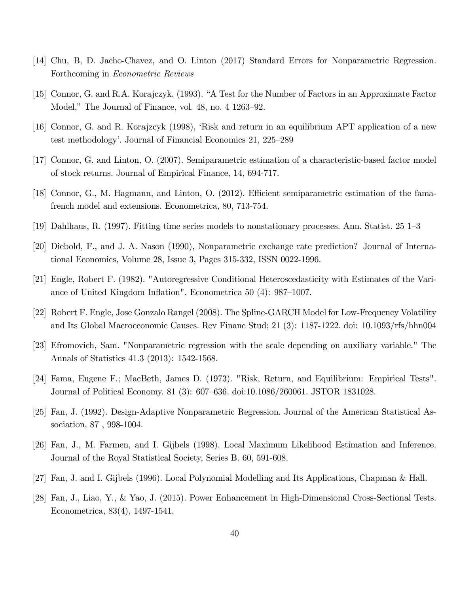- [14] Chu, B, D. Jacho-Chavez, and O. Linton (2017) Standard Errors for Nonparametric Regression. Forthcoming in Econometric Reviews
- [15] Connor, G. and R.A. Korajczyk, (1993). "A Test for the Number of Factors in an Approximate Factor Model," The Journal of Finance, vol.  $48$ , no.  $4 \frac{1263 - 92}{50}$ .
- [16] Connor, G. and R. Korajzcyk (1998), ëRisk and return in an equilibrium APT application of a new test methodology'. Journal of Financial Economics 21, 225–289
- [17] Connor, G. and Linton, O. (2007). Semiparametric estimation of a characteristic-based factor model of stock returns. Journal of Empirical Finance, 14, 694-717.
- [18] Connor, G., M. Hagmann, and Linton, O. (2012). Efficient semiparametric estimation of the famafrench model and extensions. Econometrica, 80, 713-754.
- [19] Dahlhaus, R. (1997). Fitting time series models to nonstationary processes. Ann. Statist.  $25 \text{ } 1\text{--}3$
- [20] Diebold, F., and J. A. Nason (1990), Nonparametric exchange rate prediction? Journal of International Economics, Volume 28, Issue 3, Pages 315-332, ISSN 0022-1996.
- [21] Engle, Robert F. (1982). "Autoregressive Conditional Heteroscedasticity with Estimates of the Variance of United Kingdom Inflation". Econometrica 50 (4):  $987-1007$ .
- [22] Robert F. Engle, Jose Gonzalo Rangel (2008). The Spline-GARCH Model for Low-Frequency Volatility and Its Global Macroeconomic Causes. Rev Financ Stud; 21 (3): 1187-1222. doi: 10.1093/rfs/hhn004
- [23] Efromovich, Sam. "Nonparametric regression with the scale depending on auxiliary variable." The Annals of Statistics 41.3 (2013): 1542-1568.
- [24] Fama, Eugene F.; MacBeth, James D. (1973). "Risk, Return, and Equilibrium: Empirical Tests". Journal of Political Economy. 81 (3): 607–636. doi:10.1086/260061. JSTOR 1831028.
- [25] Fan, J. (1992). Design-Adaptive Nonparametric Regression. Journal of the American Statistical Association, 87 , 998-1004.
- [26] Fan, J., M. Farmen, and I. Gijbels (1998). Local Maximum Likelihood Estimation and Inference. Journal of the Royal Statistical Society, Series B. 60, 591-608.
- [27] Fan, J. and I. Gijbels (1996). Local Polynomial Modelling and Its Applications, Chapman & Hall.
- [28] Fan, J., Liao, Y., & Yao, J. (2015). Power Enhancement in High-Dimensional Cross-Sectional Tests. Econometrica, 83(4), 1497-1541.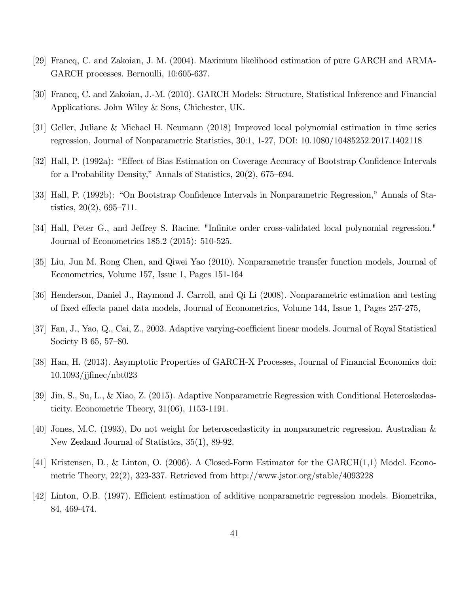- [29] Francq, C. and Zakoian, J. M. (2004). Maximum likelihood estimation of pure GARCH and ARMA-GARCH processes. Bernoulli, 10:605-637.
- [30] Francq, C. and Zakoian, J.-M. (2010). GARCH Models: Structure, Statistical Inference and Financial Applications. John Wiley & Sons, Chichester, UK.
- [31] Geller, Juliane & Michael H. Neumann (2018) Improved local polynomial estimation in time series regression, Journal of Nonparametric Statistics, 30:1, 1-27, DOI: 10.1080/10485252.2017.1402118
- [32] Hall, P. (1992a): "Effect of Bias Estimation on Coverage Accuracy of Bootstrap Confidence Intervals for a Probability Density," Annals of Statistics,  $20(2)$ , 675–694.
- [33] Hall, P. (1992b): "On Bootstrap Confidence Intervals in Nonparametric Regression," Annals of Statistics,  $20(2)$ ,  $695-711$ .
- [34] Hall, Peter G., and Jeffrey S. Racine. "Infinite order cross-validated local polynomial regression." Journal of Econometrics 185.2 (2015): 510-525.
- [35] Liu, Jun M. Rong Chen, and Qiwei Yao (2010). Nonparametric transfer function models, Journal of Econometrics, Volume 157, Issue 1, Pages 151-164
- [36] Henderson, Daniel J., Raymond J. Carroll, and Qi Li (2008). Nonparametric estimation and testing of fixed effects panel data models, Journal of Econometrics, Volume 144, Issue 1, Pages 257-275,
- [37] Fan, J., Yao, Q., Cai, Z., 2003. Adaptive varying-coefficient linear models. Journal of Royal Statistical Society B  $65, 57-80.$
- [38] Han, H. (2013). Asymptotic Properties of GARCH-X Processes, Journal of Financial Economics doi: 10.1093/jjÖnec/nbt023
- [39] Jin, S., Su, L., & Xiao, Z. (2015). Adaptive Nonparametric Regression with Conditional Heteroskedasticity. Econometric Theory, 31(06), 1153-1191.
- [40] Jones, M.C. (1993), Do not weight for heteroscedasticity in nonparametric regression. Australian & New Zealand Journal of Statistics, 35(1), 89-92.
- [41] Kristensen, D., & Linton, O. (2006). A Closed-Form Estimator for the GARCH(1,1) Model. Econometric Theory, 22(2), 323-337. Retrieved from http://www.jstor.org/stable/4093228
- [42] Linton, O.B. (1997). Efficient estimation of additive nonparametric regression models. Biometrika, 84, 469-474.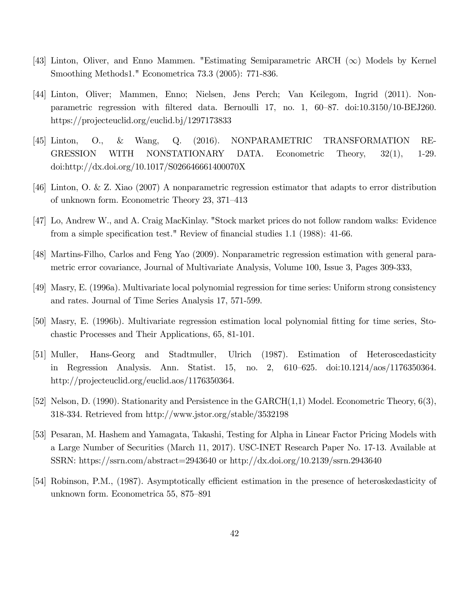- [43] Linton, Oliver, and Enno Mammen. "Estimating Semiparametric ARCH  $(\infty)$  Models by Kernel Smoothing Methods1." Econometrica 73.3 (2005): 771-836.
- [44] Linton, Oliver; Mammen, Enno; Nielsen, Jens Perch; Van Keilegom, Ingrid (2011). Nonparametric regression with filtered data. Bernoulli 17, no. 1,  $60–87$ . doi:10.3150/10-BEJ260. https://projecteuclid.org/euclid.bj/1297173833
- [45] Linton, O., & Wang, Q. (2016). NONPARAMETRIC TRANSFORMATION RE-GRESSION WITH NONSTATIONARY DATA. Econometric Theory, 32(1), 1-29. doi:http://dx.doi.org/10.1017/S026646661400070X
- [46] Linton, O. & Z. Xiao (2007) A nonparametric regression estimator that adapts to error distribution of unknown form. Econometric Theory  $23, 371-413$
- [47] Lo, Andrew W., and A. Craig MacKinlay. "Stock market prices do not follow random walks: Evidence from a simple specification test." Review of financial studies  $1.1$  (1988):  $41-66$ .
- [48] Martins-Filho, Carlos and Feng Yao (2009). Nonparametric regression estimation with general parametric error covariance, Journal of Multivariate Analysis, Volume 100, Issue 3, Pages 309-333,
- [49] Masry, E. (1996a). Multivariate local polynomial regression for time series: Uniform strong consistency and rates. Journal of Time Series Analysis 17, 571-599.
- [50] Masry, E. (1996b). Multivariate regression estimation local polynomial Ötting for time series, Stochastic Processes and Their Applications, 65, 81-101.
- [51] Muller, Hans-Georg and Stadtmuller, Ulrich (1987). Estimation of Heteroscedasticity in Regression Analysis. Ann. Statist. 15, no. 2, 610–625. doi:10.1214/aos/1176350364. http://projecteuclid.org/euclid.aos/1176350364.
- [52] Nelson, D. (1990). Stationarity and Persistence in the GARCH(1,1) Model. Econometric Theory, 6(3), 318-334. Retrieved from http://www.jstor.org/stable/3532198
- [53] Pesaran, M. Hashem and Yamagata, Takashi, Testing for Alpha in Linear Factor Pricing Models with a Large Number of Securities (March 11, 2017). USC-INET Research Paper No. 17-13. Available at SSRN: https://ssrn.com/abstract=2943640 or http://dx.doi.org/10.2139/ssrn.2943640
- [54] Robinson, P.M., (1987). Asymptotically efficient estimation in the presence of heteroskedasticity of unknown form. Econometrica 55, 875–891